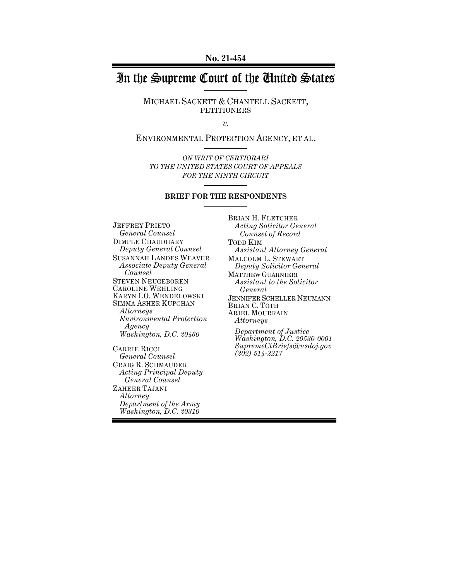# In the Supreme Court of the United States

MICHAEL SACKETT & CHANTELL SACKETT, **PETITIONERS** 

*v.*

ENVIRONMENTAL PROTECTION AGENCY, ET AL.

*ON WRIT OF CERTIORARI TO THE UNITED STATES COURT OF APPEALS FOR THE NINTH CIRCUIT*

#### **BRIEF FOR THE RESPONDENTS**

JEFFREY PRIETO *General Counsel* DIMPLE CHAUDHARY *Deputy General Counsel* SUSANNAH LANDES WEAVER *Associate Deputy General Counsel* STEVEN NEUGEBOREN CAROLINE WEHLING KARYN I.O. WENDELOWSKI SIMMA ASHER KUPCHAN *Attorneys Environmental Protection Agency Washington, D.C. 20460*

CARRIE RICCI *General Counsel* CRAIG R. SCHMAUDER *Acting Principal Deputy General Counsel* ZAHEER TAJANI *Attorney Department of the Army Washington, D.C. 20310*

BRIAN H. FLETCHER *Acting Solicitor General Counsel of Record* TODD KIM *Assistant Attorney General* MALCOLM L. STEWART *Deputy Solicitor General* MATTHEW GUARNIERI *Assistant to the Solicitor General* JENNIFER SCHELLER NEUMANN BRIAN C. TOTH ARIEL MOURRAIN *Attorneys Department of Justice*

*Washington, D.C. 20530-0001 SupremeCtBriefs@usdoj.gov (202) 514-2217*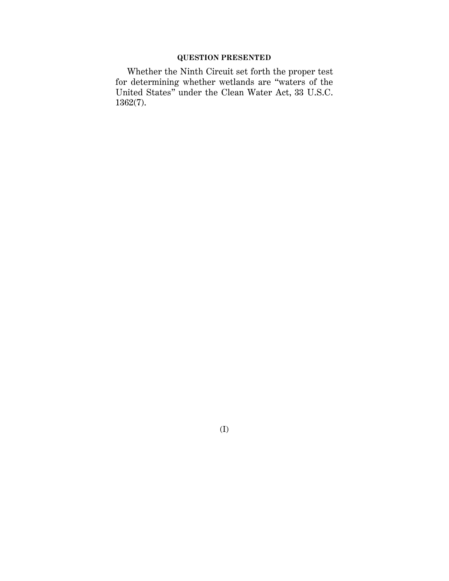## **QUESTION PRESENTED**

Whether the Ninth Circuit set forth the proper test for determining whether wetlands are "waters of the United States" under the Clean Water Act, 33 U.S.C. 1362(7).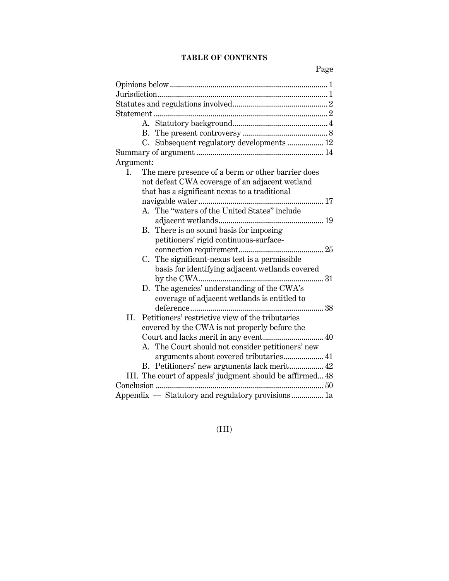# **TABLE OF CONTENTS**

|           |    | C. Subsequent regulatory developments  12                 |  |  |
|-----------|----|-----------------------------------------------------------|--|--|
|           |    |                                                           |  |  |
| Argument: |    |                                                           |  |  |
| I.        |    | The mere presence of a berm or other barrier does         |  |  |
|           |    | not defeat CWA coverage of an adjacent wetland            |  |  |
|           |    | that has a significant nexus to a traditional             |  |  |
|           |    |                                                           |  |  |
|           |    | A. The "waters of the United States" include              |  |  |
|           |    |                                                           |  |  |
|           |    |                                                           |  |  |
|           | В. | There is no sound basis for imposing                      |  |  |
|           |    | petitioners' rigid continuous-surface-                    |  |  |
|           |    |                                                           |  |  |
|           |    | C. The significant-nexus test is a permissible            |  |  |
|           |    | basis for identifying adjacent wetlands covered           |  |  |
|           |    |                                                           |  |  |
|           |    | D. The agencies' understanding of the CWA's               |  |  |
|           |    | coverage of adjacent wetlands is entitled to              |  |  |
|           |    |                                                           |  |  |
| II.       |    | Petitioners' restrictive view of the tributaries          |  |  |
|           |    | covered by the CWA is not properly before the             |  |  |
|           |    |                                                           |  |  |
|           |    | A. The Court should not consider petitioners' new         |  |  |
|           |    | arguments about covered tributaries 41                    |  |  |
|           |    | B. Petitioners' new arguments lack merit 42               |  |  |
|           |    | III. The court of appeals' judgment should be affirmed 48 |  |  |
|           |    |                                                           |  |  |
|           |    |                                                           |  |  |
|           |    | Appendix - Statutory and regulatory provisions 1a         |  |  |

# (III)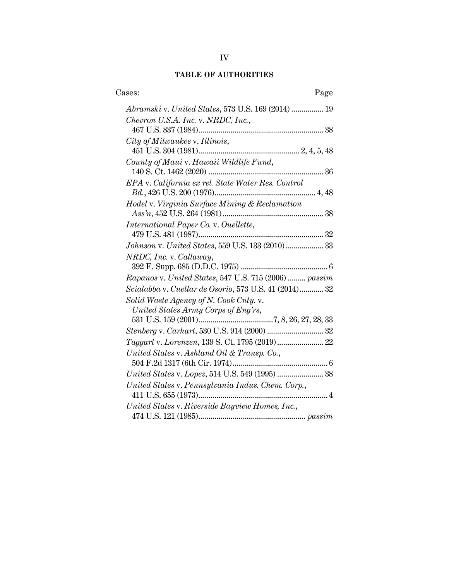# **TABLE OF AUTHORITIES**

| Cases:<br>Page                                        |
|-------------------------------------------------------|
| Abramski v. United States, 573 U.S. 169 (2014)  19    |
| Chevron U.S.A. Inc. v. NRDC, Inc.,                    |
|                                                       |
| City of Milwaukee v. Illinois,                        |
|                                                       |
| County of Maui v. Hawaii Wildlife Fund,               |
| EPA v. California ex rel. State Water Res. Control    |
|                                                       |
| Hodel v. Virginia Surface Mining & Reclamation        |
|                                                       |
| International Paper Co. v. Ouellette,                 |
|                                                       |
| Johnson v. United States, 559 U.S. 133 (2010) 33      |
| NRDC, Inc. v. Callaway,                               |
|                                                       |
| Rapanos v. United States, 547 U.S. 715 (2006)  passim |
| Scialabba v. Cuellar de Osorio, 573 U.S. 41 (2014) 32 |
| Solid Waste Agency of N. Cook Cnty. v.                |
| United States Army Corps of Eng'rs,                   |
|                                                       |
|                                                       |
|                                                       |
| United States v. Ashland Oil & Transp. Co.,           |
|                                                       |
| United States v. Lopez, 514 U.S. 549 (1995)  38       |
| United States v. Pennsylvania Indus. Chem. Corp.,     |
| United States v. Riverside Bayview Homes, Inc.,       |
|                                                       |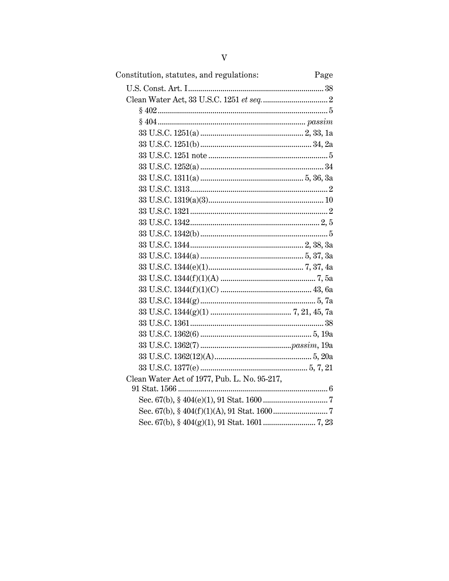| Constitution, statutes, and regulations:     | Page |
|----------------------------------------------|------|
|                                              |      |
|                                              |      |
|                                              |      |
|                                              |      |
|                                              |      |
|                                              |      |
|                                              |      |
|                                              |      |
|                                              |      |
|                                              |      |
|                                              |      |
|                                              |      |
|                                              |      |
|                                              |      |
|                                              |      |
|                                              |      |
|                                              |      |
|                                              |      |
|                                              |      |
|                                              |      |
|                                              |      |
|                                              |      |
|                                              |      |
|                                              |      |
|                                              |      |
|                                              |      |
| Clean Water Act of 1977, Pub. L. No. 95-217, |      |
|                                              |      |
|                                              |      |
|                                              |      |
|                                              |      |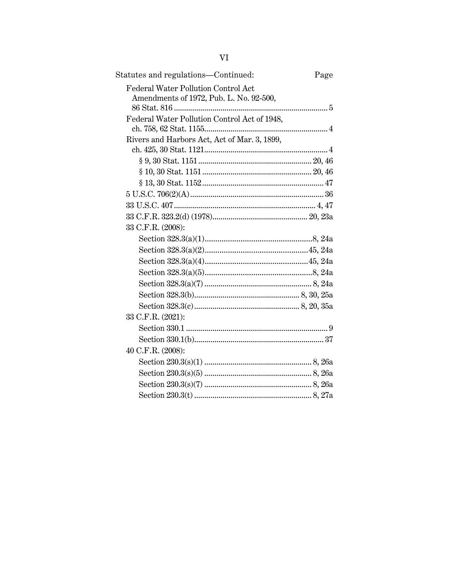| Statutes and regulations—Continued:          | Page |
|----------------------------------------------|------|
| Federal Water Pollution Control Act          |      |
| Amendments of 1972, Pub. L. No. 92-500,      |      |
|                                              |      |
| Federal Water Pollution Control Act of 1948, |      |
|                                              |      |
| Rivers and Harbors Act, Act of Mar. 3, 1899, |      |
|                                              |      |
|                                              |      |
|                                              |      |
|                                              |      |
|                                              |      |
|                                              |      |
|                                              |      |
| 33 C.F.R. (2008):                            |      |
|                                              |      |
|                                              |      |
|                                              |      |
|                                              |      |
|                                              |      |
|                                              |      |
|                                              |      |
| 33 C.F.R. (2021):                            |      |
|                                              |      |
|                                              |      |
| 40 C.F.R. (2008):                            |      |
|                                              |      |
|                                              |      |
|                                              |      |
|                                              |      |
|                                              |      |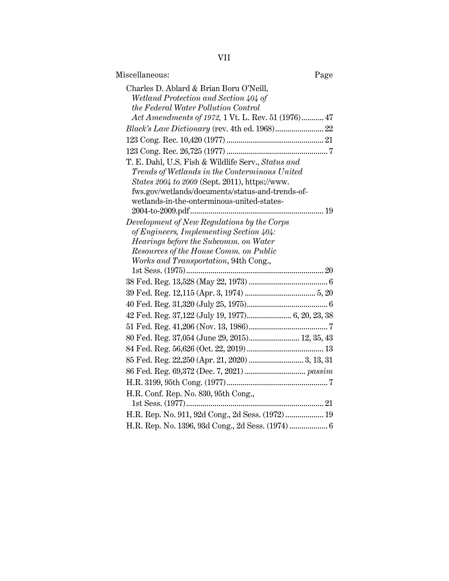VII

| Miscellaneous:                                                                   | Page |
|----------------------------------------------------------------------------------|------|
| Charles D. Ablard & Brian Boru O'Neill,                                          |      |
| Wetland Protection and Section 404 of                                            |      |
| the Federal Water Pollution Control                                              |      |
| Act Amendments of 1972, 1 Vt. L. Rev. 51 (1976) 47                               |      |
|                                                                                  |      |
|                                                                                  |      |
|                                                                                  |      |
| T. E. Dahl, U.S. Fish & Wildlife Serv., Status and                               |      |
| Trends of Wetlands in the Conterminous United                                    |      |
| States 2004 to 2009 (Sept. 2011), https://www.                                   |      |
| fws.gov/wetlands/documents/status-and-trends-of-                                 |      |
| wetlands-in-the-onterminous-united-states-                                       |      |
|                                                                                  |      |
| Development of New Regulations by the Corps                                      |      |
| of Engineers, Implementing Section 404:<br>Hearings before the Subcomm. on Water |      |
| Resources of the House Comm. on Public                                           |      |
| Works and Transportation, 94th Cong.,                                            |      |
|                                                                                  |      |
|                                                                                  |      |
|                                                                                  |      |
|                                                                                  |      |
|                                                                                  |      |
|                                                                                  |      |
| 80 Fed. Reg. 37,054 (June 29, 2015) 12, 35, 43                                   |      |
|                                                                                  |      |
|                                                                                  |      |
|                                                                                  |      |
|                                                                                  |      |
| H.R. Conf. Rep. No. 830, 95th Cong.,                                             |      |
| 1st Sess. (1977)                                                                 |      |
| H.R. Rep. No. 911, 92d Cong., 2d Sess. (1972) 19                                 |      |
| H.R. Rep. No. 1396, 93d Cong., 2d Sess. (1974)  6                                |      |
|                                                                                  |      |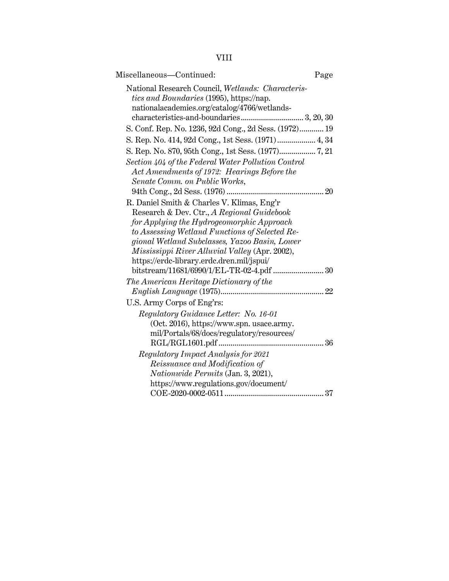# VIII

| Miscellaneous-Continued:                                                                             | Page |
|------------------------------------------------------------------------------------------------------|------|
| National Research Council, Wetlands: Characteris-<br><i>tics and Boundaries</i> (1995), https://nap. |      |
| nationalacademies.org/catalog/4766/wetlands-                                                         |      |
|                                                                                                      |      |
| S. Conf. Rep. No. 1236, 92d Cong., 2d Sess. (1972) 19                                                |      |
| S. Rep. No. 414, 92d Cong., 1st Sess. (1971) 4, 34                                                   |      |
| S. Rep. No. 870, 95th Cong., 1st Sess. (1977) 7, 21                                                  |      |
| Section 404 of the Federal Water Pollution Control                                                   |      |
| Act Amendments of 1972: Hearings Before the                                                          |      |
| Senate Comm. on Public Works,                                                                        |      |
|                                                                                                      |      |
| R. Daniel Smith & Charles V. Klimas, Eng'r                                                           |      |
| Research & Dev. Ctr., A Regional Guidebook                                                           |      |
| for Applying the Hydrogeomorphic Approach                                                            |      |
| to Assessing Wetland Functions of Selected Re-                                                       |      |
| gional Wetland Subclasses, Yazoo Basin, Lower                                                        |      |
| Mississippi River Alluvial Valley (Apr. 2002),                                                       |      |
| https://erdc-library.erdc.dren.mil/jspui/                                                            |      |
| bitstream/11681/6990/1/EL-TR-02-4.pdf  30                                                            |      |
| The American Heritage Dictionary of the                                                              |      |
|                                                                                                      |      |
| U.S. Army Corps of Eng'rs:                                                                           |      |
| Regulatory Guidance Letter: No. 16-01                                                                |      |
| (Oct. 2016), https://www.spn. usace.army.                                                            |      |
| mil/Portals/68/docs/regulatory/resources/                                                            |      |
|                                                                                                      |      |
| Regulatory Impact Analysis for 2021                                                                  |      |
| Reissuance and Modification of                                                                       |      |
| Nationwide Permits (Jan. 3, 2021),                                                                   |      |
| https://www.regulations.gov/document/                                                                |      |
|                                                                                                      |      |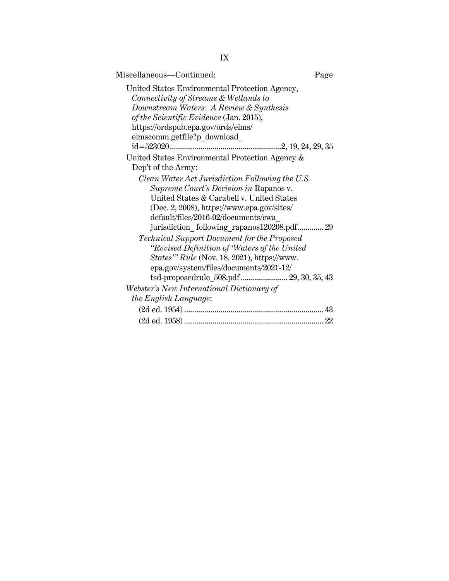| Miscellaneous-Continued:                                                                | Page |
|-----------------------------------------------------------------------------------------|------|
| United States Environmental Protection Agency,<br>Connectivity of Streams & Wetlands to |      |
| Downstream Waters: A Review & Synthesis                                                 |      |
| of the Scientific Evidence (Jan. 2015),                                                 |      |
| https://ordspub.epa.gov/ords/eims/                                                      |      |
| eimscomm.getfile?p download                                                             |      |
|                                                                                         |      |
| United States Environmental Protection Agency &<br>Dep't of the Army:                   |      |
| Clean Water Act Jurisdiction Following the U.S.                                         |      |
| Supreme Court's Decision in Rapanos v.                                                  |      |
| United States & Carabell v. United States                                               |      |
| (Dec. 2, 2008), https://www.epa.gov/sites/                                              |      |
| default/files/2016-02/documents/cwa                                                     |      |
| jurisdiction following rapanos120208.pdf29                                              |      |
| Technical Support Document for the Proposed                                             |      |
| "Revised Definition of 'Waters of the United                                            |      |
| States" Rule (Nov. 18, 2021), https://www.                                              |      |
| epa.gov/system/files/documents/2021-12/                                                 |      |
| tsd-proposedrule_508.pdf  29, 30, 35, 43                                                |      |
| Webster's New International Dictionary of                                               |      |
| the English Language:                                                                   |      |
|                                                                                         |      |
|                                                                                         |      |
|                                                                                         |      |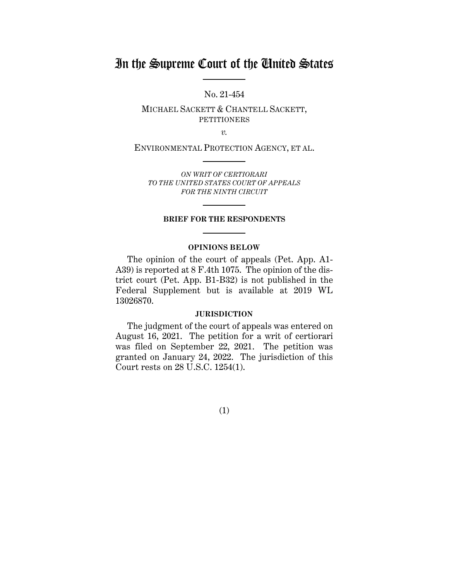# In the Supreme Court of the United States

No. 21-454

MICHAEL SACKETT & CHANTELL SACKETT, **PETITIONERS** 

*v.*

ENVIRONMENTAL PROTECTION AGENCY, ET AL.

*ON WRIT OF CERTIORARI TO THE UNITED STATES COURT OF APPEALS FOR THE NINTH CIRCUIT*

#### **BRIEF FOR THE RESPONDENTS**

### **OPINIONS BELOW**

The opinion of the court of appeals (Pet. App. A1- A39) is reported at 8 F.4th 1075. The opinion of the district court (Pet. App. B1-B32) is not published in the Federal Supplement but is available at 2019 WL 13026870.

#### **JURISDICTION**

The judgment of the court of appeals was entered on August 16, 2021. The petition for a writ of certiorari was filed on September 22, 2021. The petition was granted on January 24, 2022. The jurisdiction of this Court rests on 28 U.S.C. 1254(1).

(1)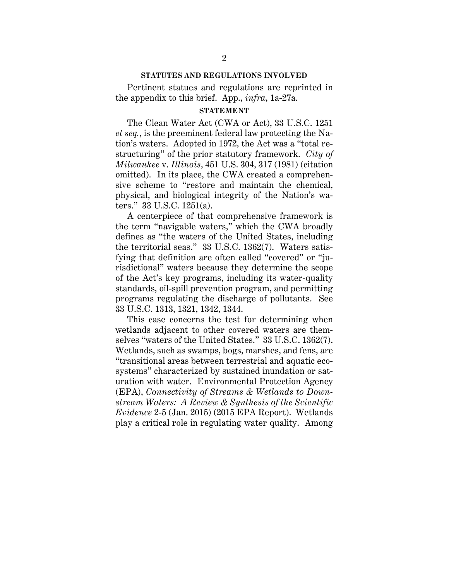#### **STATUTES AND REGULATIONS INVOLVED**

Pertinent statues and regulations are reprinted in the appendix to this brief. App., *infra*, 1a-27a.

## **STATEMENT**

The Clean Water Act (CWA or Act), 33 U.S.C. 1251 *et seq.*, is the preeminent federal law protecting the Nation's waters. Adopted in 1972, the Act was a "total restructuring" of the prior statutory framework. *City of Milwaukee* v. *Illinois*, 451 U.S. 304, 317 (1981) (citation omitted). In its place, the CWA created a comprehensive scheme to "restore and maintain the chemical, physical, and biological integrity of the Nation's waters." 33 U.S.C. 1251(a).

A centerpiece of that comprehensive framework is the term "navigable waters," which the CWA broadly defines as "the waters of the United States, including the territorial seas." 33 U.S.C. 1362(7). Waters satisfying that definition are often called "covered" or "jurisdictional" waters because they determine the scope of the Act's key programs, including its water-quality standards, oil-spill prevention program, and permitting programs regulating the discharge of pollutants. See 33 U.S.C. 1313, 1321, 1342, 1344.

This case concerns the test for determining when wetlands adjacent to other covered waters are themselves "waters of the United States." 33 U.S.C. 1362(7). Wetlands, such as swamps, bogs, marshes, and fens, are "transitional areas between terrestrial and aquatic ecosystems" characterized by sustained inundation or saturation with water. Environmental Protection Agency (EPA), *Connectivity of Streams & Wetlands to Downstream Waters: A Review & Synthesis of the Scientific Evidence* 2-5 (Jan. 2015) (2015 EPA Report). Wetlands play a critical role in regulating water quality. Among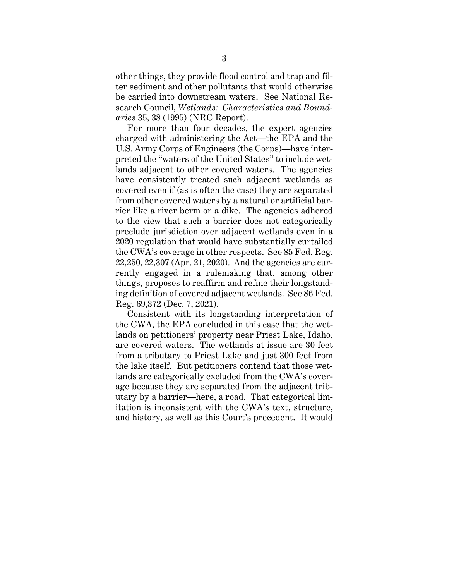other things, they provide flood control and trap and filter sediment and other pollutants that would otherwise be carried into downstream waters. See National Research Council, *Wetlands: Characteristics and Boundaries* 35, 38 (1995) (NRC Report).

For more than four decades, the expert agencies charged with administering the Act—the EPA and the U.S. Army Corps of Engineers (the Corps)—have interpreted the "waters of the United States" to include wetlands adjacent to other covered waters. The agencies have consistently treated such adjacent wetlands as covered even if (as is often the case) they are separated from other covered waters by a natural or artificial barrier like a river berm or a dike. The agencies adhered to the view that such a barrier does not categorically preclude jurisdiction over adjacent wetlands even in a 2020 regulation that would have substantially curtailed the CWA's coverage in other respects. See 85 Fed. Reg. 22,250, 22,307 (Apr. 21, 2020). And the agencies are currently engaged in a rulemaking that, among other things, proposes to reaffirm and refine their longstanding definition of covered adjacent wetlands. See 86 Fed. Reg. 69,372 (Dec. 7, 2021).

Consistent with its longstanding interpretation of the CWA, the EPA concluded in this case that the wetlands on petitioners' property near Priest Lake, Idaho, are covered waters. The wetlands at issue are 30 feet from a tributary to Priest Lake and just 300 feet from the lake itself. But petitioners contend that those wetlands are categorically excluded from the CWA's coverage because they are separated from the adjacent tributary by a barrier—here, a road. That categorical limitation is inconsistent with the CWA's text, structure, and history, as well as this Court's precedent. It would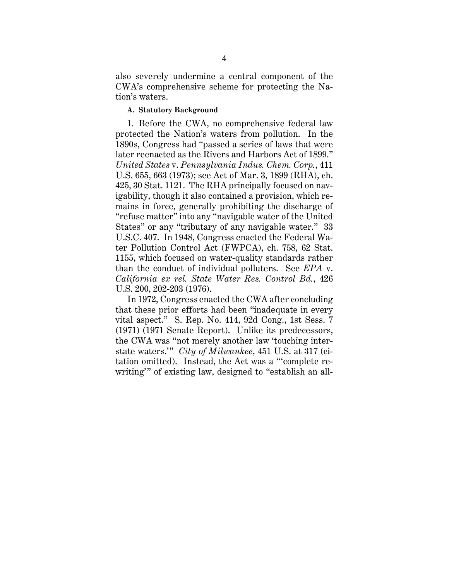also severely undermine a central component of the CWA's comprehensive scheme for protecting the Nation's waters.

### **A. Statutory Background**

1. Before the CWA, no comprehensive federal law protected the Nation's waters from pollution. In the 1890s, Congress had "passed a series of laws that were later reenacted as the Rivers and Harbors Act of 1899." *United States* v. *Pennsylvania Indus. Chem. Corp.*, 411 U.S. 655, 663 (1973); see Act of Mar. 3, 1899 (RHA), ch. 425, 30 Stat. 1121. The RHA principally focused on navigability, though it also contained a provision, which remains in force, generally prohibiting the discharge of "refuse matter" into any "navigable water of the United States" or any "tributary of any navigable water." 33 U.S.C. 407. In 1948, Congress enacted the Federal Water Pollution Control Act (FWPCA), ch. 758, 62 Stat. 1155, which focused on water-quality standards rather than the conduct of individual polluters. See *EPA* v. *California ex rel. State Water Res. Control Bd.*, 426 U.S. 200, 202-203 (1976).

In 1972, Congress enacted the CWA after concluding that these prior efforts had been "inadequate in every vital aspect." S. Rep. No. 414, 92d Cong., 1st Sess. 7 (1971) (1971 Senate Report). Unlike its predecessors, the CWA was "not merely another law 'touching interstate waters.'" *City of Milwaukee*, 451 U.S. at 317 (citation omitted). Instead, the Act was a "'complete rewriting'" of existing law, designed to "establish an all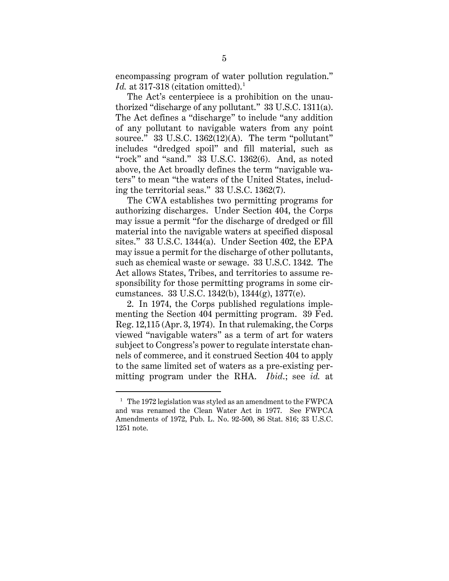encompassing program of water pollution regulation." *Id.* at 317-318 (citation omitted).<sup>1</sup>

The Act's centerpiece is a prohibition on the unauthorized "discharge of any pollutant." 33 U.S.C. 1311(a). The Act defines a "discharge" to include "any addition of any pollutant to navigable waters from any point source." 33 U.S.C. 1362(12)(A). The term "pollutant" includes "dredged spoil" and fill material, such as "rock" and "sand." 33 U.S.C. 1362(6). And, as noted above, the Act broadly defines the term "navigable waters" to mean "the waters of the United States, including the territorial seas." 33 U.S.C. 1362(7).

The CWA establishes two permitting programs for authorizing discharges. Under Section 404, the Corps may issue a permit "for the discharge of dredged or fill material into the navigable waters at specified disposal sites." 33 U.S.C. 1344(a). Under Section 402, the EPA may issue a permit for the discharge of other pollutants, such as chemical waste or sewage. 33 U.S.C. 1342. The Act allows States, Tribes, and territories to assume responsibility for those permitting programs in some circumstances. 33 U.S.C. 1342(b), 1344(g), 1377(e).

2. In 1974, the Corps published regulations implementing the Section 404 permitting program. 39 Fed. Reg. 12,115 (Apr. 3, 1974). In that rulemaking, the Corps viewed "navigable waters" as a term of art for waters subject to Congress's power to regulate interstate channels of commerce, and it construed Section 404 to apply to the same limited set of waters as a pre-existing permitting program under the RHA. *Ibid*.; see *id.* at

<sup>&</sup>lt;sup>1</sup> The 1972 legislation was styled as an amendment to the FWPCA and was renamed the Clean Water Act in 1977. See FWPCA Amendments of 1972, Pub. L. No. 92-500, 86 Stat. 816; 33 U.S.C. 1251 note.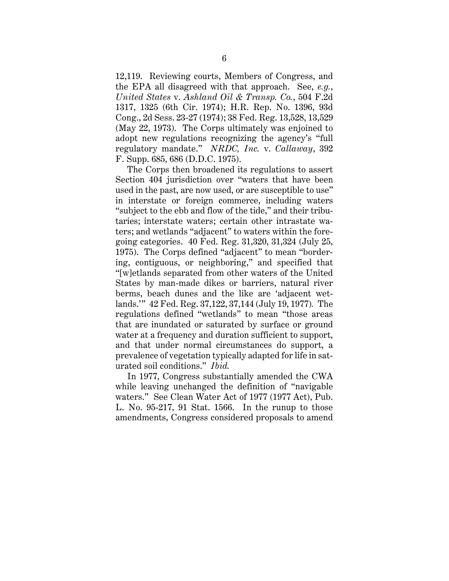12,119. Reviewing courts, Members of Congress, and the EPA all disagreed with that approach. See, *e.g.*, *United States* v. *Ashland Oil & Transp. Co.*, 504 F.2d 1317, 1325 (6th Cir. 1974); H.R. Rep. No. 1396, 93d Cong., 2d Sess. 23-27 (1974); 38 Fed. Reg. 13,528, 13,529 (May 22, 1973). The Corps ultimately was enjoined to adopt new regulations recognizing the agency's "full regulatory mandate." *NRDC, Inc.* v. *Callaway*, 392 F. Supp. 685, 686 (D.D.C. 1975).

The Corps then broadened its regulations to assert Section 404 jurisdiction over "waters that have been used in the past, are now used, or are susceptible to use" in interstate or foreign commerce, including waters "subject to the ebb and flow of the tide," and their tributaries; interstate waters; certain other intrastate waters; and wetlands "adjacent" to waters within the foregoing categories. 40 Fed. Reg. 31,320, 31,324 (July 25, 1975). The Corps defined "adjacent" to mean "bordering, contiguous, or neighboring," and specified that "[w]etlands separated from other waters of the United States by man-made dikes or barriers, natural river berms, beach dunes and the like are 'adjacent wetlands.'" 42 Fed. Reg. 37,122, 37,144 (July 19, 1977)*.* The regulations defined "wetlands" to mean "those areas that are inundated or saturated by surface or ground water at a frequency and duration sufficient to support, and that under normal circumstances do support, a prevalence of vegetation typically adapted for life in saturated soil conditions." *Ibid.*

In 1977, Congress substantially amended the CWA while leaving unchanged the definition of "navigable waters." See Clean Water Act of 1977 (1977 Act), Pub. L. No. 95-217, 91 Stat. 1566. In the runup to those amendments, Congress considered proposals to amend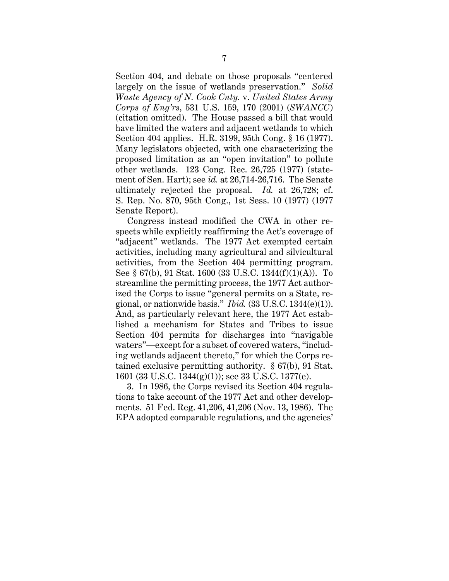Section 404, and debate on those proposals "centered largely on the issue of wetlands preservation." *Solid Waste Agency of N. Cook Cnty.* v. *United States Army Corps of Eng'rs*, 531 U.S. 159, 170 (2001) (*SWANCC*) (citation omitted). The House passed a bill that would have limited the waters and adjacent wetlands to which Section 404 applies. H.R. 3199, 95th Cong. § 16 (1977). Many legislators objected, with one characterizing the proposed limitation as an "open invitation" to pollute other wetlands. 123 Cong. Rec. 26,725 (1977) (statement of Sen. Hart); see *id.* at 26,714-26,716. The Senate ultimately rejected the proposal. *Id.* at 26,728; cf. S. Rep. No. 870, 95th Cong., 1st Sess. 10 (1977) (1977 Senate Report).

Congress instead modified the CWA in other respects while explicitly reaffirming the Act's coverage of "adjacent" wetlands. The 1977 Act exempted certain activities, including many agricultural and silvicultural activities, from the Section 404 permitting program. See § 67(b), 91 Stat. 1600 (33 U.S.C. 1344(f)(1)(A)). To streamline the permitting process, the 1977 Act authorized the Corps to issue "general permits on a State, regional, or nationwide basis." *Ibid.* (33 U.S.C. 1344(e)(1)). And, as particularly relevant here, the 1977 Act established a mechanism for States and Tribes to issue Section 404 permits for discharges into "navigable waters"—except for a subset of covered waters, "including wetlands adjacent thereto," for which the Corps retained exclusive permitting authority. § 67(b), 91 Stat. 1601 (33 U.S.C. 1344(g)(1)); see 33 U.S.C. 1377(e).

3. In 1986, the Corps revised its Section 404 regulations to take account of the 1977 Act and other developments. 51 Fed. Reg. 41,206, 41,206 (Nov. 13, 1986). The EPA adopted comparable regulations, and the agencies'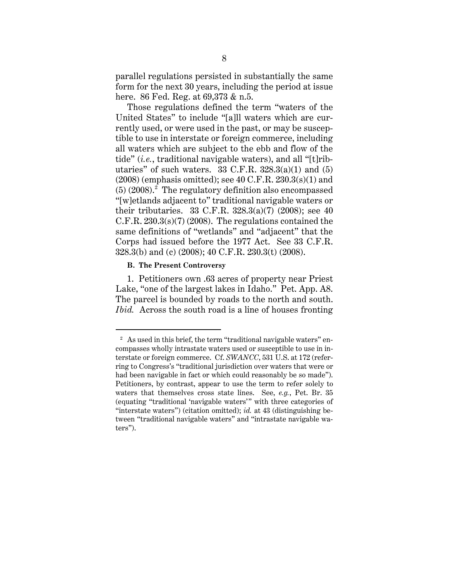parallel regulations persisted in substantially the same form for the next 30 years, including the period at issue here. 86 Fed. Reg. at 69,373 & n.5.

Those regulations defined the term "waters of the United States" to include "[a]ll waters which are currently used, or were used in the past, or may be susceptible to use in interstate or foreign commerce, including all waters which are subject to the ebb and flow of the tide" (*i.e.*, traditional navigable waters), and all "[t]ributaries" of such waters.  $33$  C.F.R.  $328.3(a)(1)$  and  $(5)$  $(2008)$  (emphasis omitted); see 40 C.F.R.  $230.3(s)(1)$  and  $(5)$  (2008).<sup>2</sup> The regulatory definition also encompassed "[w]etlands adjacent to" traditional navigable waters or their tributaries. 33 C.F.R. 328.3(a)(7) (2008); see 40 C.F.R. 230.3(s)(7) (2008). The regulations contained the same definitions of "wetlands" and "adjacent" that the Corps had issued before the 1977 Act. See 33 C.F.R. 328.3(b) and (c) (2008); 40 C.F.R. 230.3(t) (2008).

#### **B. The Present Controversy**

1. Petitioners own .63 acres of property near Priest Lake, "one of the largest lakes in Idaho." Pet. App. A8. The parcel is bounded by roads to the north and south. *Ibid.* Across the south road is a line of houses fronting

<sup>&</sup>lt;sup>2</sup> As used in this brief, the term "traditional navigable waters" encompasses wholly intrastate waters used or susceptible to use in interstate or foreign commerce. Cf. *SWANCC*, 531 U.S. at 172 (referring to Congress's "traditional jurisdiction over waters that were or had been navigable in fact or which could reasonably be so made"). Petitioners, by contrast, appear to use the term to refer solely to waters that themselves cross state lines. See, *e.g.*, Pet. Br. 35 (equating "traditional 'navigable waters'" with three categories of "interstate waters") (citation omitted); *id.* at 43 (distinguishing between "traditional navigable waters" and "intrastate navigable waters").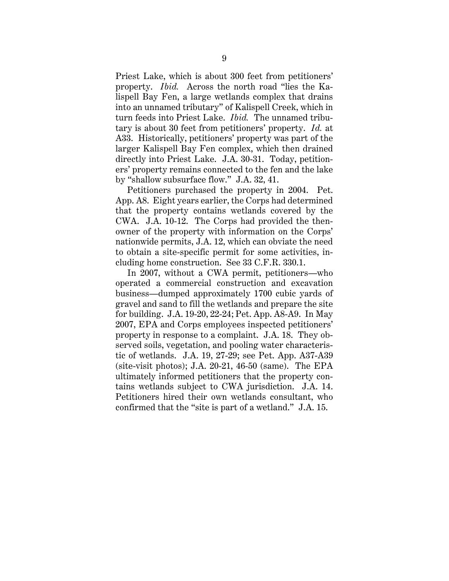Priest Lake, which is about 300 feet from petitioners' property. *Ibid.* Across the north road "lies the Kalispell Bay Fen, a large wetlands complex that drains into an unnamed tributary" of Kalispell Creek, which in turn feeds into Priest Lake. *Ibid.* The unnamed tributary is about 30 feet from petitioners' property. *Id.* at A33. Historically, petitioners' property was part of the larger Kalispell Bay Fen complex, which then drained directly into Priest Lake. J.A. 30-31. Today, petitioners' property remains connected to the fen and the lake by "shallow subsurface flow." J.A. 32, 41.

Petitioners purchased the property in 2004. Pet. App. A8. Eight years earlier, the Corps had determined that the property contains wetlands covered by the CWA. J.A. 10-12. The Corps had provided the thenowner of the property with information on the Corps' nationwide permits, J.A. 12, which can obviate the need to obtain a site-specific permit for some activities, including home construction. See 33 C.F.R. 330.1.

In 2007, without a CWA permit, petitioners—who operated a commercial construction and excavation business—dumped approximately 1700 cubic yards of gravel and sand to fill the wetlands and prepare the site for building. J.A. 19-20, 22-24; Pet. App. A8-A9. In May 2007, EPA and Corps employees inspected petitioners' property in response to a complaint. J.A. 18. They observed soils, vegetation, and pooling water characteristic of wetlands. J.A. 19, 27-29; see Pet. App. A37-A39 (site-visit photos); J.A. 20-21, 46-50 (same). The EPA ultimately informed petitioners that the property contains wetlands subject to CWA jurisdiction. J.A. 14. Petitioners hired their own wetlands consultant, who confirmed that the "site is part of a wetland." J.A. 15.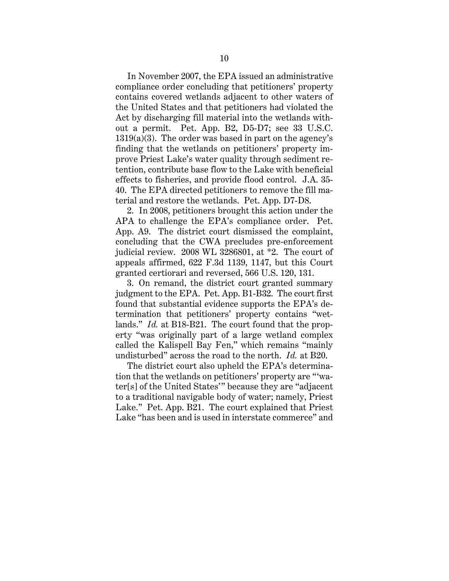In November 2007, the EPA issued an administrative compliance order concluding that petitioners' property contains covered wetlands adjacent to other waters of the United States and that petitioners had violated the Act by discharging fill material into the wetlands without a permit. Pet. App. B2, D5-D7; see 33 U.S.C.  $1319(a)(3)$ . The order was based in part on the agency's finding that the wetlands on petitioners' property improve Priest Lake's water quality through sediment retention, contribute base flow to the Lake with beneficial effects to fisheries, and provide flood control. J.A. 35- 40. The EPA directed petitioners to remove the fill material and restore the wetlands. Pet. App. D7-D8.

2. In 2008, petitioners brought this action under the APA to challenge the EPA's compliance order. Pet. App. A9. The district court dismissed the complaint, concluding that the CWA precludes pre-enforcement judicial review. 2008 WL 3286801, at \*2. The court of appeals affirmed, 622 F.3d 1139, 1147, but this Court granted certiorari and reversed, 566 U.S. 120, 131.

3. On remand, the district court granted summary judgment to the EPA. Pet. App. B1-B32. The court first found that substantial evidence supports the EPA's determination that petitioners' property contains "wetlands." *Id.* at B18-B21. The court found that the property "was originally part of a large wetland complex called the Kalispell Bay Fen," which remains "mainly undisturbed" across the road to the north. *Id.* at B20.

The district court also upheld the EPA's determination that the wetlands on petitioners' property are "'water[s] of the United States'" because they are "adjacent to a traditional navigable body of water; namely, Priest Lake." Pet. App. B21. The court explained that Priest Lake "has been and is used in interstate commerce" and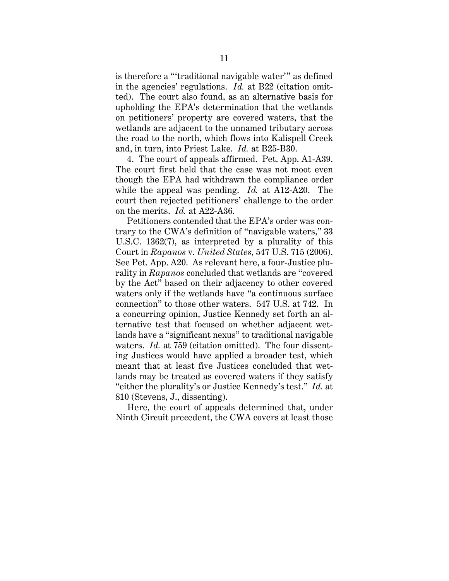is therefore a "'traditional navigable water'" as defined in the agencies' regulations. *Id.* at B22 (citation omitted). The court also found, as an alternative basis for upholding the EPA's determination that the wetlands on petitioners' property are covered waters, that the wetlands are adjacent to the unnamed tributary across the road to the north, which flows into Kalispell Creek and, in turn, into Priest Lake. *Id.* at B25-B30.

4. The court of appeals affirmed. Pet. App. A1-A39. The court first held that the case was not moot even though the EPA had withdrawn the compliance order while the appeal was pending. *Id.* at A12-A20. The court then rejected petitioners' challenge to the order on the merits. *Id.* at A22-A36.

Petitioners contended that the EPA's order was contrary to the CWA's definition of "navigable waters," 33 U.S.C. 1362(7), as interpreted by a plurality of this Court in *Rapanos* v. *United States*, 547 U.S. 715 (2006). See Pet. App. A20. As relevant here, a four-Justice plurality in *Rapanos* concluded that wetlands are "covered by the Act" based on their adjacency to other covered waters only if the wetlands have "a continuous surface connection" to those other waters. 547 U.S. at 742. In a concurring opinion, Justice Kennedy set forth an alternative test that focused on whether adjacent wetlands have a "significant nexus" to traditional navigable waters. *Id.* at 759 (citation omitted). The four dissenting Justices would have applied a broader test, which meant that at least five Justices concluded that wetlands may be treated as covered waters if they satisfy "either the plurality's or Justice Kennedy's test." *Id.* at 810 (Stevens, J., dissenting).

Here, the court of appeals determined that, under Ninth Circuit precedent, the CWA covers at least those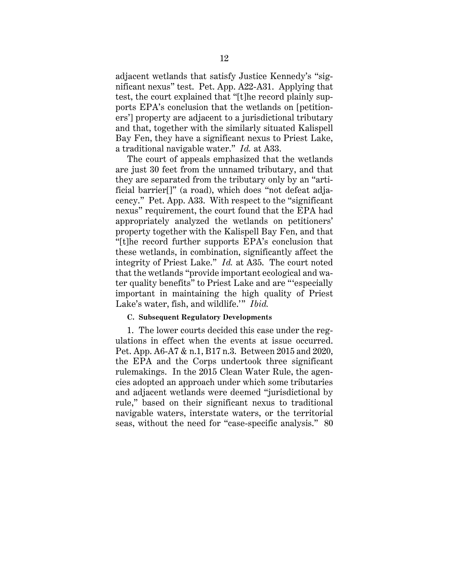adjacent wetlands that satisfy Justice Kennedy's "significant nexus" test. Pet. App. A22-A31. Applying that test, the court explained that "[t]he record plainly supports EPA's conclusion that the wetlands on [petitioners'] property are adjacent to a jurisdictional tributary and that, together with the similarly situated Kalispell Bay Fen, they have a significant nexus to Priest Lake, a traditional navigable water." *Id.* at A33.

The court of appeals emphasized that the wetlands are just 30 feet from the unnamed tributary, and that they are separated from the tributary only by an "artificial barrier[]" (a road), which does "not defeat adjacency." Pet. App. A33. With respect to the "significant nexus" requirement, the court found that the EPA had appropriately analyzed the wetlands on petitioners' property together with the Kalispell Bay Fen, and that "[t]he record further supports EPA's conclusion that these wetlands, in combination, significantly affect the integrity of Priest Lake." *Id.* at A35. The court noted that the wetlands "provide important ecological and water quality benefits" to Priest Lake and are "'especially important in maintaining the high quality of Priest Lake's water, fish, and wildlife.'" *Ibid.*

## **C. Subsequent Regulatory Developments**

1. The lower courts decided this case under the regulations in effect when the events at issue occurred. Pet. App. A6-A7 & n.1, B17 n.3. Between 2015 and 2020, the EPA and the Corps undertook three significant rulemakings. In the 2015 Clean Water Rule, the agencies adopted an approach under which some tributaries and adjacent wetlands were deemed "jurisdictional by rule," based on their significant nexus to traditional navigable waters, interstate waters, or the territorial seas, without the need for "case-specific analysis." 80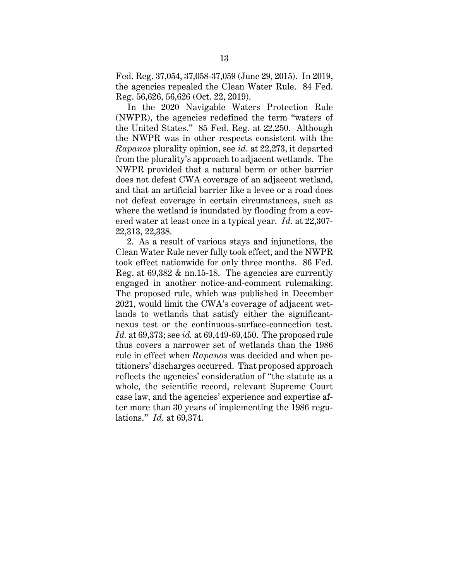Fed. Reg. 37,054, 37,058-37,059 (June 29, 2015). In 2019, the agencies repealed the Clean Water Rule. 84 Fed. Reg. 56,626, 56,626 (Oct. 22, 2019).

In the 2020 Navigable Waters Protection Rule (NWPR), the agencies redefined the term "waters of the United States." 85 Fed. Reg. at 22,250. Although the NWPR was in other respects consistent with the *Rapanos* plurality opinion, see *id*. at 22,273, it departed from the plurality's approach to adjacent wetlands. The NWPR provided that a natural berm or other barrier does not defeat CWA coverage of an adjacent wetland, and that an artificial barrier like a levee or a road does not defeat coverage in certain circumstances, such as where the wetland is inundated by flooding from a covered water at least once in a typical year. *Id*. at 22,307- 22,313, 22,338.

2. As a result of various stays and injunctions, the Clean Water Rule never fully took effect, and the NWPR took effect nationwide for only three months. 86 Fed. Reg. at  $69,382 \&$  nn.15-18. The agencies are currently engaged in another notice-and-comment rulemaking. The proposed rule, which was published in December 2021, would limit the CWA's coverage of adjacent wetlands to wetlands that satisfy either the significantnexus test or the continuous-surface-connection test. *Id.* at 69,373; see *id.* at 69,449-69,450. The proposed rule thus covers a narrower set of wetlands than the 1986 rule in effect when *Rapanos* was decided and when petitioners' discharges occurred. That proposed approach reflects the agencies' consideration of "the statute as a whole, the scientific record, relevant Supreme Court case law, and the agencies' experience and expertise after more than 30 years of implementing the 1986 regulations." *Id.* at 69,374.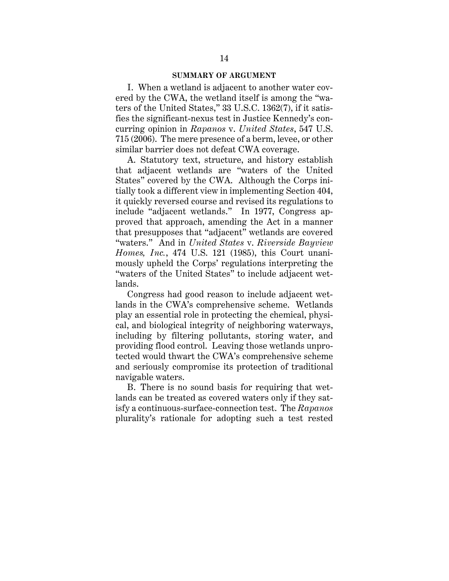#### **SUMMARY OF ARGUMENT**

I. When a wetland is adjacent to another water covered by the CWA, the wetland itself is among the "waters of the United States," 33 U.S.C. 1362(7), if it satisfies the significant-nexus test in Justice Kennedy's concurring opinion in *Rapanos* v. *United States*, 547 U.S. 715 (2006). The mere presence of a berm, levee, or other similar barrier does not defeat CWA coverage.

A. Statutory text, structure, and history establish that adjacent wetlands are "waters of the United States" covered by the CWA. Although the Corps initially took a different view in implementing Section 404, it quickly reversed course and revised its regulations to include "adjacent wetlands." In 1977, Congress approved that approach, amending the Act in a manner that presupposes that "adjacent" wetlands are covered "waters." And in *United States* v. *Riverside Bayview Homes, Inc.*, 474 U.S. 121 (1985), this Court unanimously upheld the Corps' regulations interpreting the "waters of the United States" to include adjacent wetlands.

Congress had good reason to include adjacent wetlands in the CWA's comprehensive scheme. Wetlands play an essential role in protecting the chemical, physical, and biological integrity of neighboring waterways, including by filtering pollutants, storing water, and providing flood control. Leaving those wetlands unprotected would thwart the CWA's comprehensive scheme and seriously compromise its protection of traditional navigable waters.

B. There is no sound basis for requiring that wetlands can be treated as covered waters only if they satisfy a continuous-surface-connection test. The *Rapanos* plurality's rationale for adopting such a test rested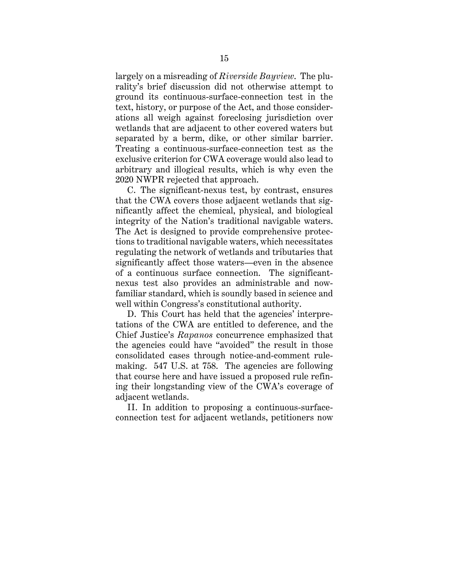largely on a misreading of *Riverside Bayview*. The plurality's brief discussion did not otherwise attempt to ground its continuous-surface-connection test in the text, history, or purpose of the Act, and those considerations all weigh against foreclosing jurisdiction over wetlands that are adjacent to other covered waters but separated by a berm, dike, or other similar barrier. Treating a continuous-surface-connection test as the exclusive criterion for CWA coverage would also lead to arbitrary and illogical results, which is why even the 2020 NWPR rejected that approach.

C. The significant-nexus test, by contrast, ensures that the CWA covers those adjacent wetlands that significantly affect the chemical, physical, and biological integrity of the Nation's traditional navigable waters. The Act is designed to provide comprehensive protections to traditional navigable waters, which necessitates regulating the network of wetlands and tributaries that significantly affect those waters—even in the absence of a continuous surface connection. The significantnexus test also provides an administrable and nowfamiliar standard, which is soundly based in science and well within Congress's constitutional authority.

D. This Court has held that the agencies' interpretations of the CWA are entitled to deference, and the Chief Justice's *Rapanos* concurrence emphasized that the agencies could have "avoided" the result in those consolidated cases through notice-and-comment rulemaking. 547 U.S. at 758. The agencies are following that course here and have issued a proposed rule refining their longstanding view of the CWA's coverage of adjacent wetlands.

II. In addition to proposing a continuous-surfaceconnection test for adjacent wetlands, petitioners now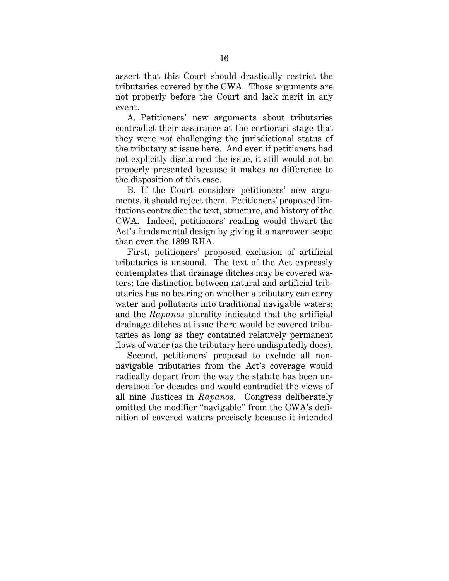assert that this Court should drastically restrict the tributaries covered by the CWA. Those arguments are not properly before the Court and lack merit in any event.

A. Petitioners' new arguments about tributaries contradict their assurance at the certiorari stage that they were *not* challenging the jurisdictional status of the tributary at issue here. And even if petitioners had not explicitly disclaimed the issue, it still would not be properly presented because it makes no difference to the disposition of this case.

B. If the Court considers petitioners' new arguments, it should reject them. Petitioners' proposed limitations contradict the text, structure, and history of the CWA. Indeed, petitioners' reading would thwart the Act's fundamental design by giving it a narrower scope than even the 1899 RHA.

First, petitioners' proposed exclusion of artificial tributaries is unsound. The text of the Act expressly contemplates that drainage ditches may be covered waters; the distinction between natural and artificial tributaries has no bearing on whether a tributary can carry water and pollutants into traditional navigable waters; and the *Rapanos* plurality indicated that the artificial drainage ditches at issue there would be covered tributaries as long as they contained relatively permanent flows of water (as the tributary here undisputedly does).

Second, petitioners' proposal to exclude all nonnavigable tributaries from the Act's coverage would radically depart from the way the statute has been understood for decades and would contradict the views of all nine Justices in *Rapanos*. Congress deliberately omitted the modifier "navigable" from the CWA's definition of covered waters precisely because it intended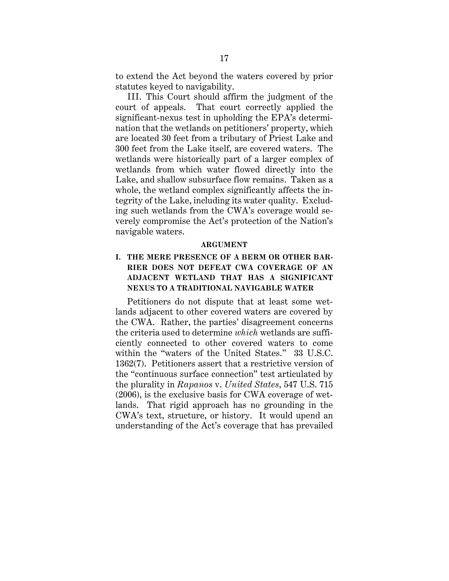to extend the Act beyond the waters covered by prior statutes keyed to navigability.

III. This Court should affirm the judgment of the court of appeals. That court correctly applied the significant-nexus test in upholding the EPA's determination that the wetlands on petitioners' property, which are located 30 feet from a tributary of Priest Lake and 300 feet from the Lake itself, are covered waters. The wetlands were historically part of a larger complex of wetlands from which water flowed directly into the Lake, and shallow subsurface flow remains. Taken as a whole, the wetland complex significantly affects the integrity of the Lake, including its water quality. Excluding such wetlands from the CWA's coverage would severely compromise the Act's protection of the Nation's navigable waters.

### **ARGUMENT**

## **I. THE MERE PRESENCE OF A BERM OR OTHER BAR-RIER DOES NOT DEFEAT CWA COVERAGE OF AN ADJACENT WETLAND THAT HAS A SIGNIFICANT NEXUS TO A TRADITIONAL NAVIGABLE WATER**

Petitioners do not dispute that at least some wetlands adjacent to other covered waters are covered by the CWA. Rather, the parties' disagreement concerns the criteria used to determine *which* wetlands are sufficiently connected to other covered waters to come within the "waters of the United States." 33 U.S.C. 1362(7). Petitioners assert that a restrictive version of the "continuous surface connection" test articulated by the plurality in *Rapanos* v. *United States*, 547 U.S. 715 (2006), is the exclusive basis for CWA coverage of wetlands. That rigid approach has no grounding in the CWA's text, structure, or history. It would upend an understanding of the Act's coverage that has prevailed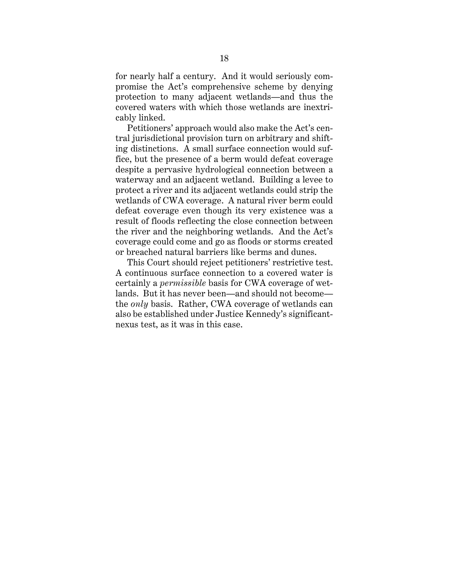for nearly half a century. And it would seriously compromise the Act's comprehensive scheme by denying protection to many adjacent wetlands—and thus the covered waters with which those wetlands are inextricably linked.

Petitioners' approach would also make the Act's central jurisdictional provision turn on arbitrary and shifting distinctions. A small surface connection would suffice, but the presence of a berm would defeat coverage despite a pervasive hydrological connection between a waterway and an adjacent wetland. Building a levee to protect a river and its adjacent wetlands could strip the wetlands of CWA coverage. A natural river berm could defeat coverage even though its very existence was a result of floods reflecting the close connection between the river and the neighboring wetlands. And the Act's coverage could come and go as floods or storms created or breached natural barriers like berms and dunes.

This Court should reject petitioners' restrictive test. A continuous surface connection to a covered water is certainly a *permissible* basis for CWA coverage of wetlands. But it has never been—and should not become the *only* basis. Rather, CWA coverage of wetlands can also be established under Justice Kennedy's significantnexus test, as it was in this case.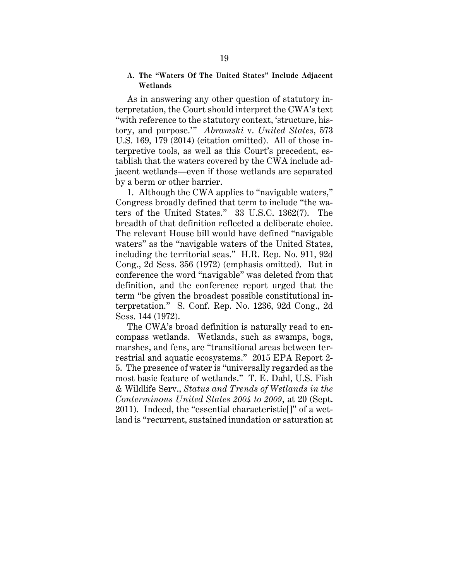## **A. The "Waters Of The United States" Include Adjacent Wetlands**

As in answering any other question of statutory interpretation, the Court should interpret the CWA's text "with reference to the statutory context, 'structure, history, and purpose.'" *Abramski* v. *United States*, 573 U.S. 169, 179 (2014) (citation omitted). All of those interpretive tools, as well as this Court's precedent, establish that the waters covered by the CWA include adjacent wetlands—even if those wetlands are separated by a berm or other barrier.

1. Although the CWA applies to "navigable waters," Congress broadly defined that term to include "the waters of the United States." 33 U.S.C. 1362(7). The breadth of that definition reflected a deliberate choice. The relevant House bill would have defined "navigable waters" as the "navigable waters of the United States, including the territorial seas." H.R. Rep. No. 911, 92d Cong., 2d Sess. 356 (1972) (emphasis omitted). But in conference the word "navigable" was deleted from that definition, and the conference report urged that the term "be given the broadest possible constitutional interpretation." S. Conf. Rep. No. 1236, 92d Cong., 2d Sess. 144 (1972).

The CWA's broad definition is naturally read to encompass wetlands. Wetlands, such as swamps, bogs, marshes, and fens, are "transitional areas between terrestrial and aquatic ecosystems." 2015 EPA Report 2- 5. The presence of water is "universally regarded as the most basic feature of wetlands." T. E. Dahl, U.S. Fish & Wildlife Serv., *Status and Trends of Wetlands in the Conterminous United States 2004 to 2009*, at 20 (Sept. 2011). Indeed, the "essential characteristic[]" of a wetland is "recurrent, sustained inundation or saturation at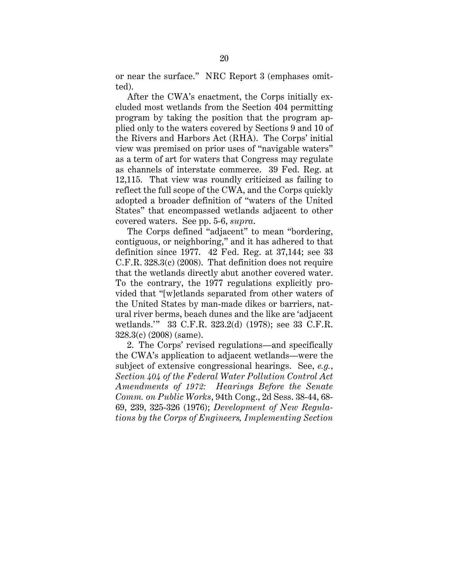or near the surface." NRC Report 3 (emphases omitted).

After the CWA's enactment, the Corps initially excluded most wetlands from the Section 404 permitting program by taking the position that the program applied only to the waters covered by Sections 9 and 10 of the Rivers and Harbors Act (RHA). The Corps' initial view was premised on prior uses of "navigable waters" as a term of art for waters that Congress may regulate as channels of interstate commerce. 39 Fed. Reg. at 12,115. That view was roundly criticized as failing to reflect the full scope of the CWA, and the Corps quickly adopted a broader definition of "waters of the United States" that encompassed wetlands adjacent to other covered waters. See pp. 5-6, *supra*.

The Corps defined "adjacent" to mean "bordering, contiguous, or neighboring," and it has adhered to that definition since 1977. 42 Fed. Reg. at 37,144; see 33 C.F.R. 328.3(c) (2008). That definition does not require that the wetlands directly abut another covered water. To the contrary, the 1977 regulations explicitly provided that "[w]etlands separated from other waters of the United States by man-made dikes or barriers, natural river berms, beach dunes and the like are 'adjacent wetlands.'" 33 C.F.R. 323.2(d) (1978); see 33 C.F.R. 328.3(c) (2008) (same).

2. The Corps' revised regulations—and specifically the CWA's application to adjacent wetlands—were the subject of extensive congressional hearings. See, *e.g.*, *Section 404 of the Federal Water Pollution Control Act Amendments of 1972: Hearings Before the Senate Comm. on Public Works*, 94th Cong., 2d Sess. 38-44, 68- 69, 239, 325-326 (1976); *Development of New Regulations by the Corps of Engineers, Implementing Section*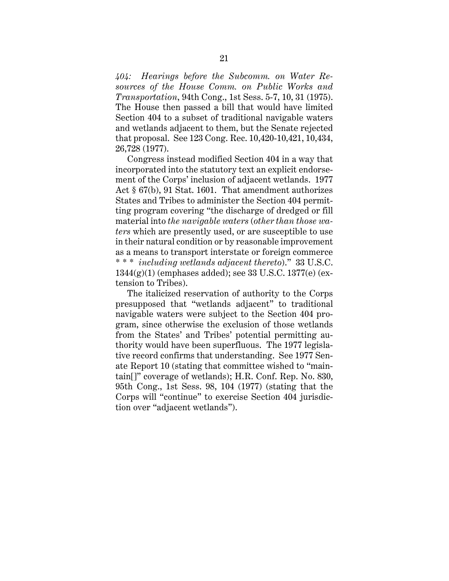*404: Hearings before the Subcomm. on Water Resources of the House Comm. on Public Works and Transportation*, 94th Cong., 1st Sess. 5-7, 10, 31 (1975). The House then passed a bill that would have limited Section 404 to a subset of traditional navigable waters and wetlands adjacent to them, but the Senate rejected that proposal. See 123 Cong. Rec. 10,420-10,421, 10,434, 26,728 (1977).

Congress instead modified Section 404 in a way that incorporated into the statutory text an explicit endorsement of the Corps' inclusion of adjacent wetlands. 1977 Act § 67(b), 91 Stat. 1601. That amendment authorizes States and Tribes to administer the Section 404 permitting program covering "the discharge of dredged or fill material into *the navigable waters* (*other than those waters* which are presently used, or are susceptible to use in their natural condition or by reasonable improvement as a means to transport interstate or foreign commerce \* \* \* *including wetlands adjacent thereto*)." 33 U.S.C. 1344(g)(1) (emphases added); see 33 U.S.C. 1377(e) (extension to Tribes).

The italicized reservation of authority to the Corps presupposed that "wetlands adjacent" to traditional navigable waters were subject to the Section 404 program, since otherwise the exclusion of those wetlands from the States' and Tribes' potential permitting authority would have been superfluous. The 1977 legislative record confirms that understanding. See 1977 Senate Report 10 (stating that committee wished to "maintain[]" coverage of wetlands); H.R. Conf. Rep. No. 830, 95th Cong., 1st Sess. 98, 104 (1977) (stating that the Corps will "continue" to exercise Section 404 jurisdiction over "adjacent wetlands").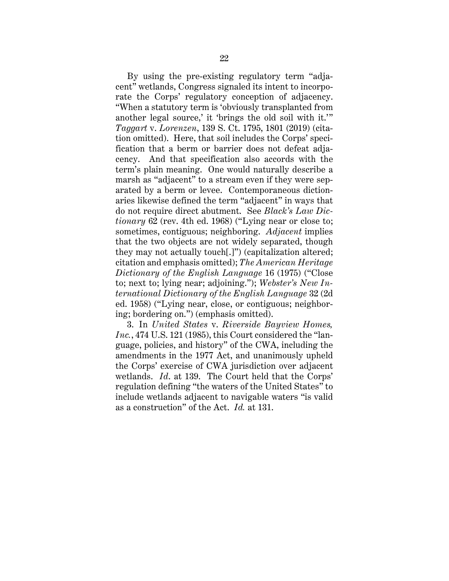By using the pre-existing regulatory term "adjacent" wetlands, Congress signaled its intent to incorporate the Corps' regulatory conception of adjacency. "When a statutory term is 'obviously transplanted from another legal source,' it 'brings the old soil with it.'" *Taggart* v. *Lorenzen*, 139 S. Ct. 1795, 1801 (2019) (citation omitted). Here, that soil includes the Corps' specification that a berm or barrier does not defeat adjacency. And that specification also accords with the term's plain meaning. One would naturally describe a marsh as "adjacent" to a stream even if they were separated by a berm or levee. Contemporaneous dictionaries likewise defined the term "adjacent" in ways that do not require direct abutment. See *Black's Law Dictionary* 62 (rev. 4th ed. 1968) ("Lying near or close to; sometimes, contiguous; neighboring. *Adjacent* implies that the two objects are not widely separated, though they may not actually touch[.]") (capitalization altered; citation and emphasis omitted); *The American Heritage Dictionary of the English Language* 16 (1975) ("Close to; next to; lying near; adjoining."); *Webster's New International Dictionary of the English Language* 32 (2d ed. 1958) ("Lying near, close, or contiguous; neighboring; bordering on.") (emphasis omitted).

3. In *United States* v. *Riverside Bayview Homes, Inc.*, 474 U.S. 121 (1985), this Court considered the "language, policies, and history" of the CWA, including the amendments in the 1977 Act, and unanimously upheld the Corps' exercise of CWA jurisdiction over adjacent wetlands. *Id*. at 139. The Court held that the Corps' regulation defining "the waters of the United States" to include wetlands adjacent to navigable waters "is valid as a construction" of the Act. *Id.* at 131.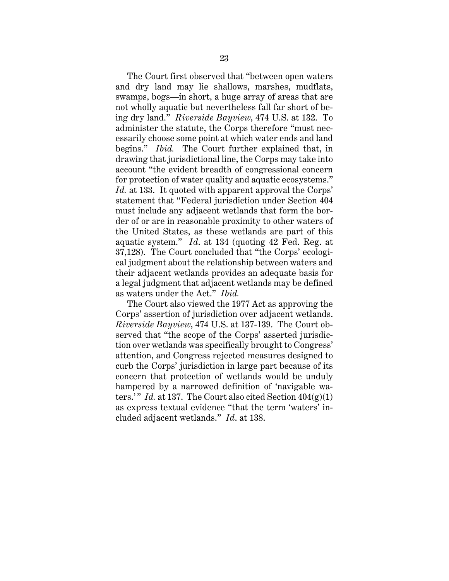The Court first observed that "between open waters and dry land may lie shallows, marshes, mudflats, swamps, bogs—in short, a huge array of areas that are not wholly aquatic but nevertheless fall far short of being dry land." *Riverside Bayview*, 474 U.S. at 132. To administer the statute, the Corps therefore "must necessarily choose some point at which water ends and land begins." *Ibid.* The Court further explained that, in drawing that jurisdictional line, the Corps may take into account "the evident breadth of congressional concern for protection of water quality and aquatic ecosystems." *Id.* at 133. It quoted with apparent approval the Corps' statement that "Federal jurisdiction under Section 404 must include any adjacent wetlands that form the border of or are in reasonable proximity to other waters of the United States, as these wetlands are part of this aquatic system." *Id*. at 134 (quoting 42 Fed. Reg. at 37,128). The Court concluded that "the Corps' ecological judgment about the relationship between waters and their adjacent wetlands provides an adequate basis for a legal judgment that adjacent wetlands may be defined as waters under the Act." *Ibid.*

The Court also viewed the 1977 Act as approving the Corps' assertion of jurisdiction over adjacent wetlands. *Riverside Bayview*, 474 U.S. at 137-139. The Court observed that "the scope of the Corps' asserted jurisdiction over wetlands was specifically brought to Congress' attention, and Congress rejected measures designed to curb the Corps' jurisdiction in large part because of its concern that protection of wetlands would be unduly hampered by a narrowed definition of 'navigable waters.'" *Id.* at 137. The Court also cited Section  $404(g)(1)$ as express textual evidence "that the term 'waters' included adjacent wetlands." *Id*. at 138.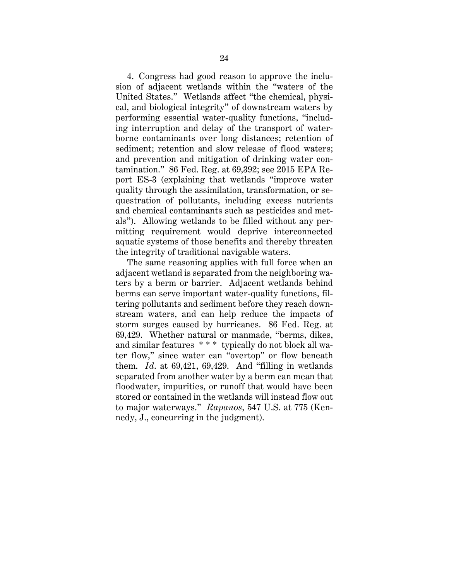4. Congress had good reason to approve the inclusion of adjacent wetlands within the "waters of the United States." Wetlands affect "the chemical, physical, and biological integrity" of downstream waters by performing essential water-quality functions, "including interruption and delay of the transport of waterborne contaminants over long distances; retention of sediment; retention and slow release of flood waters; and prevention and mitigation of drinking water contamination." 86 Fed. Reg. at 69,392; see 2015 EPA Report ES-3 (explaining that wetlands "improve water quality through the assimilation, transformation, or sequestration of pollutants, including excess nutrients and chemical contaminants such as pesticides and metals"). Allowing wetlands to be filled without any permitting requirement would deprive interconnected aquatic systems of those benefits and thereby threaten the integrity of traditional navigable waters.

The same reasoning applies with full force when an adjacent wetland is separated from the neighboring waters by a berm or barrier. Adjacent wetlands behind berms can serve important water-quality functions, filtering pollutants and sediment before they reach downstream waters, and can help reduce the impacts of storm surges caused by hurricanes. 86 Fed. Reg. at 69,429. Whether natural or manmade, "berms, dikes, and similar features \* \* \* typically do not block all water flow," since water can "overtop" or flow beneath them. *Id*. at 69,421, 69,429. And "filling in wetlands separated from another water by a berm can mean that floodwater, impurities, or runoff that would have been stored or contained in the wetlands will instead flow out to major waterways." *Rapanos*, 547 U.S. at 775 (Kennedy, J., concurring in the judgment).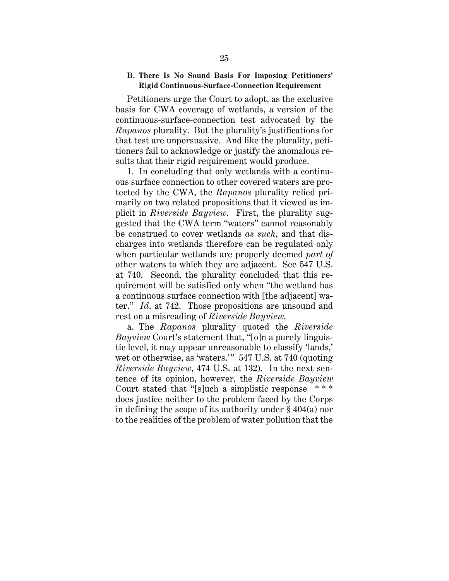## **B. There Is No Sound Basis For Imposing Petitioners' Rigid Continuous-Surface-Connection Requirement**

Petitioners urge the Court to adopt, as the exclusive basis for CWA coverage of wetlands, a version of the continuous-surface-connection test advocated by the *Rapanos* plurality. But the plurality's justifications for that test are unpersuasive. And like the plurality, petitioners fail to acknowledge or justify the anomalous results that their rigid requirement would produce.

1. In concluding that only wetlands with a continuous surface connection to other covered waters are protected by the CWA, the *Rapanos* plurality relied primarily on two related propositions that it viewed as implicit in *Riverside Bayview*. First, the plurality suggested that the CWA term "waters" cannot reasonably be construed to cover wetlands *as such*, and that discharges into wetlands therefore can be regulated only when particular wetlands are properly deemed *part of* other waters to which they are adjacent. See 547 U.S. at 740. Second, the plurality concluded that this requirement will be satisfied only when "the wetland has a continuous surface connection with [the adjacent] water." *Id*. at 742. Those propositions are unsound and rest on a misreading of *Riverside Bayview*.

a. The *Rapanos* plurality quoted the *Riverside Bayview* Court's statement that, "[o]n a purely linguistic level, it may appear unreasonable to classify 'lands,' wet or otherwise, as 'waters.'" 547 U.S. at 740 (quoting *Riverside Bayview*, 474 U.S. at 132). In the next sentence of its opinion, however, the *Riverside Bayview* Court stated that "[s]uch a simplistic response \* \* \* does justice neither to the problem faced by the Corps in defining the scope of its authority under § 404(a) nor to the realities of the problem of water pollution that the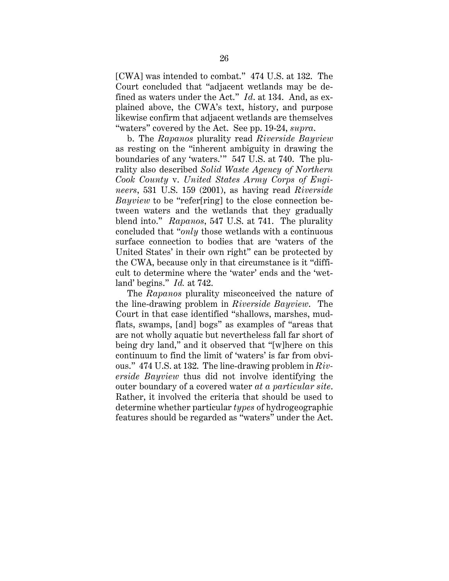[CWA] was intended to combat." 474 U.S. at 132. The Court concluded that "adjacent wetlands may be defined as waters under the Act." *Id*. at 134. And, as explained above, the CWA's text, history, and purpose likewise confirm that adjacent wetlands are themselves "waters" covered by the Act. See pp. 19-24, *supra*.

b. The *Rapanos* plurality read *Riverside Bayview* as resting on the "inherent ambiguity in drawing the boundaries of any 'waters.'" 547 U.S. at 740. The plurality also described *Solid Waste Agency of Northern Cook County* v. *United States Army Corps of Engineers*, 531 U.S. 159 (2001), as having read *Riverside Bayview* to be "refer[ring] to the close connection between waters and the wetlands that they gradually blend into." *Rapanos*, 547 U.S. at 741. The plurality concluded that "*only* those wetlands with a continuous surface connection to bodies that are 'waters of the United States' in their own right" can be protected by the CWA, because only in that circumstance is it "difficult to determine where the 'water' ends and the 'wetland' begins." *Id.* at 742.

The *Rapanos* plurality misconceived the nature of the line-drawing problem in *Riverside Bayview*. The Court in that case identified "shallows, marshes, mudflats, swamps, [and] bogs" as examples of "areas that are not wholly aquatic but nevertheless fall far short of being dry land," and it observed that "[w]here on this continuum to find the limit of 'waters' is far from obvious." 474 U.S. at 132. The line-drawing problem in *Riverside Bayview* thus did not involve identifying the outer boundary of a covered water *at a particular site*. Rather, it involved the criteria that should be used to determine whether particular *types* of hydrogeographic features should be regarded as "waters" under the Act.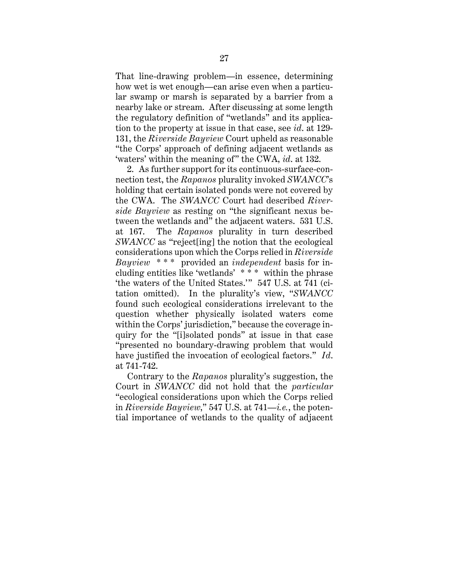That line-drawing problem—in essence, determining how wet is wet enough—can arise even when a particular swamp or marsh is separated by a barrier from a nearby lake or stream. After discussing at some length the regulatory definition of "wetlands" and its application to the property at issue in that case, see *id*. at 129- 131, the *Riverside Bayview* Court upheld as reasonable "the Corps' approach of defining adjacent wetlands as 'waters' within the meaning of" the CWA, *id*. at 132.

2. As further support for its continuous-surface-connection test, the *Rapanos* plurality invoked *SWANCC*'s holding that certain isolated ponds were not covered by the CWA. The *SWANCC* Court had described *Riverside Bayview* as resting on "the significant nexus between the wetlands and" the adjacent waters. 531 U.S. at 167. The *Rapanos* plurality in turn described *SWANCC* as "reject[ing] the notion that the ecological considerations upon which the Corps relied in *Riverside Bayview* \* \* \* provided an *independent* basis for including entities like 'wetlands' \* \* \* within the phrase 'the waters of the United States.'" 547 U.S. at 741 (citation omitted). In the plurality's view, "*SWANCC* found such ecological considerations irrelevant to the question whether physically isolated waters come within the Corps' jurisdiction," because the coverage inquiry for the "[i]solated ponds" at issue in that case "presented no boundary-drawing problem that would have justified the invocation of ecological factors." *Id.* at 741-742.

Contrary to the *Rapanos* plurality's suggestion, the Court in *SWANCC* did not hold that the *particular* "ecological considerations upon which the Corps relied in *Riverside Bayview*," 547 U.S. at 741—*i.e.*, the potential importance of wetlands to the quality of adjacent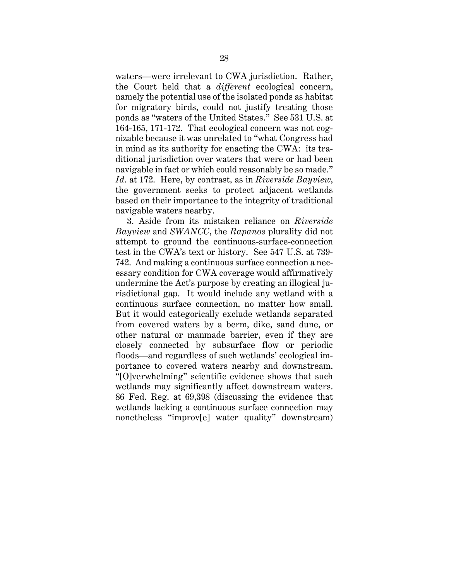waters—were irrelevant to CWA jurisdiction. Rather, the Court held that a *different* ecological concern, namely the potential use of the isolated ponds as habitat for migratory birds, could not justify treating those ponds as "waters of the United States." See 531 U.S. at 164-165, 171-172. That ecological concern was not cognizable because it was unrelated to "what Congress had in mind as its authority for enacting the CWA: its traditional jurisdiction over waters that were or had been navigable in fact or which could reasonably be so made." *Id*. at 172. Here, by contrast, as in *Riverside Bayview*, the government seeks to protect adjacent wetlands based on their importance to the integrity of traditional navigable waters nearby.

3. Aside from its mistaken reliance on *Riverside Bayview* and *SWANCC*, the *Rapanos* plurality did not attempt to ground the continuous-surface-connection test in the CWA's text or history. See 547 U.S. at 739- 742. And making a continuous surface connection a necessary condition for CWA coverage would affirmatively undermine the Act's purpose by creating an illogical jurisdictional gap. It would include any wetland with a continuous surface connection, no matter how small. But it would categorically exclude wetlands separated from covered waters by a berm, dike, sand dune, or other natural or manmade barrier, even if they are closely connected by subsurface flow or periodic floods—and regardless of such wetlands' ecological importance to covered waters nearby and downstream. "[O]verwhelming" scientific evidence shows that such wetlands may significantly affect downstream waters. 86 Fed. Reg. at 69,398 (discussing the evidence that wetlands lacking a continuous surface connection may nonetheless "improv[e] water quality" downstream)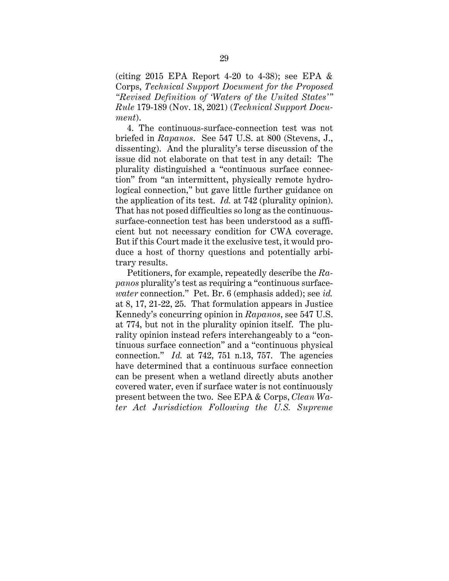(citing 2015 EPA Report 4-20 to 4-38); see EPA  $\&$ Corps, *Technical Support Document for the Proposed "Revised Definition of 'Waters of the United States'" Rule* 179-189 (Nov. 18, 2021) (*Technical Support Document*).

4. The continuous-surface-connection test was not briefed in *Rapanos*. See 547 U.S. at 800 (Stevens, J., dissenting). And the plurality's terse discussion of the issue did not elaborate on that test in any detail: The plurality distinguished a "continuous surface connection" from "an intermittent, physically remote hydrological connection," but gave little further guidance on the application of its test. *Id.* at 742 (plurality opinion). That has not posed difficulties so long as the continuoussurface-connection test has been understood as a sufficient but not necessary condition for CWA coverage. But if this Court made it the exclusive test, it would produce a host of thorny questions and potentially arbitrary results.

Petitioners, for example, repeatedly describe the *Rapanos* plurality's test as requiring a "continuous surface*water* connection." Pet. Br. 6 (emphasis added); see *id.* at 8, 17, 21-22, 25. That formulation appears in Justice Kennedy's concurring opinion in *Rapanos*, see 547 U.S. at 774, but not in the plurality opinion itself. The plurality opinion instead refers interchangeably to a "continuous surface connection" and a "continuous physical connection." *Id.* at 742, 751 n.13, 757. The agencies have determined that a continuous surface connection can be present when a wetland directly abuts another covered water, even if surface water is not continuously present between the two. See EPA & Corps, *Clean Water Act Jurisdiction Following the U.S. Supreme*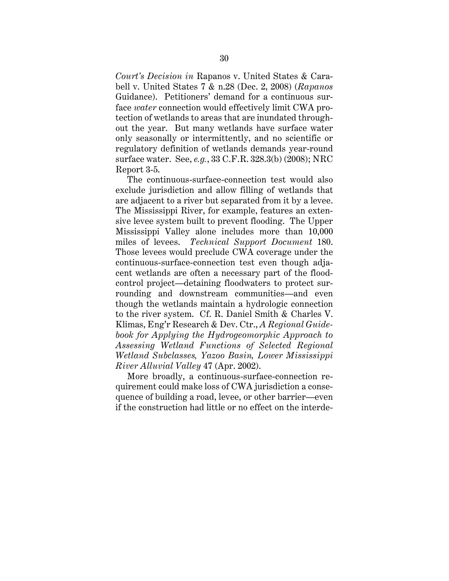*Court's Decision in* Rapanos v. United States & Carabell v. United States 7 & n.28 (Dec. 2, 2008) (*Rapanos* Guidance). Petitioners' demand for a continuous surface *water* connection would effectively limit CWA protection of wetlands to areas that are inundated throughout the year. But many wetlands have surface water only seasonally or intermittently, and no scientific or regulatory definition of wetlands demands year-round surface water. See, *e.g.*, 33 C.F.R. 328.3(b) (2008); NRC Report 3-5.

The continuous-surface-connection test would also exclude jurisdiction and allow filling of wetlands that are adjacent to a river but separated from it by a levee. The Mississippi River, for example, features an extensive levee system built to prevent flooding. The Upper Mississippi Valley alone includes more than 10,000 miles of levees. *Technical Support Document* 180. Those levees would preclude CWA coverage under the continuous-surface-connection test even though adjacent wetlands are often a necessary part of the floodcontrol project—detaining floodwaters to protect surrounding and downstream communities—and even though the wetlands maintain a hydrologic connection to the river system. Cf. R. Daniel Smith & Charles V. Klimas, Eng'r Research & Dev. Ctr., *A Regional Guidebook for Applying the Hydrogeomorphic Approach to Assessing Wetland Functions of Selected Regional Wetland Subclasses, Yazoo Basin, Lower Mississippi River Alluvial Valley* 47 (Apr. 2002).

More broadly, a continuous-surface-connection requirement could make loss of CWA jurisdiction a consequence of building a road, levee, or other barrier—even if the construction had little or no effect on the interde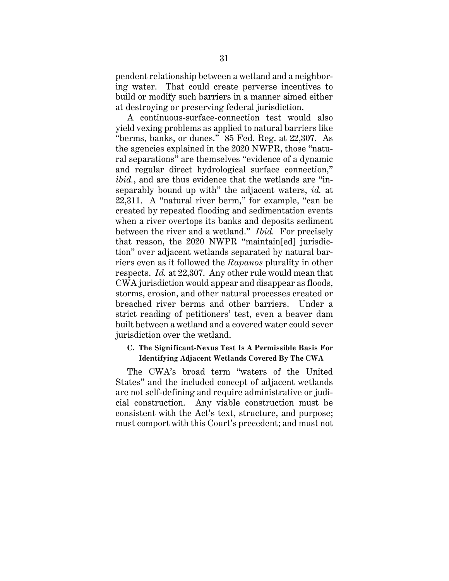pendent relationship between a wetland and a neighboring water. That could create perverse incentives to build or modify such barriers in a manner aimed either at destroying or preserving federal jurisdiction.

A continuous-surface-connection test would also yield vexing problems as applied to natural barriers like "berms, banks, or dunes." 85 Fed. Reg. at 22,307. As the agencies explained in the 2020 NWPR, those "natural separations" are themselves "evidence of a dynamic and regular direct hydrological surface connection," *ibid.*, and are thus evidence that the wetlands are "inseparably bound up with" the adjacent waters, *id.* at 22,311. A "natural river berm," for example, "can be created by repeated flooding and sedimentation events when a river overtops its banks and deposits sediment between the river and a wetland." *Ibid.* For precisely that reason, the 2020 NWPR "maintain[ed] jurisdiction" over adjacent wetlands separated by natural barriers even as it followed the *Rapanos* plurality in other respects. *Id.* at 22,307. Any other rule would mean that CWA jurisdiction would appear and disappear as floods, storms, erosion, and other natural processes created or breached river berms and other barriers. Under a strict reading of petitioners' test, even a beaver dam built between a wetland and a covered water could sever jurisdiction over the wetland.

# **C. The Significant-Nexus Test Is A Permissible Basis For Identifying Adjacent Wetlands Covered By The CWA**

The CWA's broad term "waters of the United States" and the included concept of adjacent wetlands are not self-defining and require administrative or judicial construction. Any viable construction must be consistent with the Act's text, structure, and purpose; must comport with this Court's precedent; and must not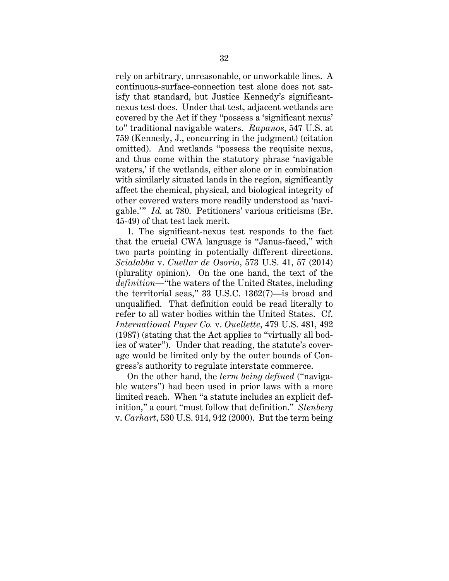rely on arbitrary, unreasonable, or unworkable lines. A continuous-surface-connection test alone does not satisfy that standard, but Justice Kennedy's significantnexus test does. Under that test, adjacent wetlands are covered by the Act if they "possess a 'significant nexus' to" traditional navigable waters. *Rapanos*, 547 U.S. at 759 (Kennedy, J., concurring in the judgment) (citation omitted). And wetlands "possess the requisite nexus, and thus come within the statutory phrase 'navigable waters,' if the wetlands, either alone or in combination with similarly situated lands in the region, significantly affect the chemical, physical, and biological integrity of other covered waters more readily understood as 'navigable.'" *Id.* at 780. Petitioners' various criticisms (Br. 45-49) of that test lack merit.

1. The significant-nexus test responds to the fact that the crucial CWA language is "Janus-faced," with two parts pointing in potentially different directions. *Scialabba* v. *Cuellar de Osorio*, 573 U.S. 41, 57 (2014) (plurality opinion). On the one hand, the text of the *definition*—"the waters of the United States, including the territorial seas," 33 U.S.C. 1362(7)—is broad and unqualified. That definition could be read literally to refer to all water bodies within the United States. Cf. *International Paper Co.* v. *Ouellette*, 479 U.S. 481, 492 (1987) (stating that the Act applies to "virtually all bodies of water"). Under that reading, the statute's coverage would be limited only by the outer bounds of Congress's authority to regulate interstate commerce.

On the other hand, the *term being defined* ("navigable waters") had been used in prior laws with a more limited reach. When "a statute includes an explicit definition," a court "must follow that definition." *Stenberg* v. *Carhart*, 530 U.S. 914, 942 (2000). But the term being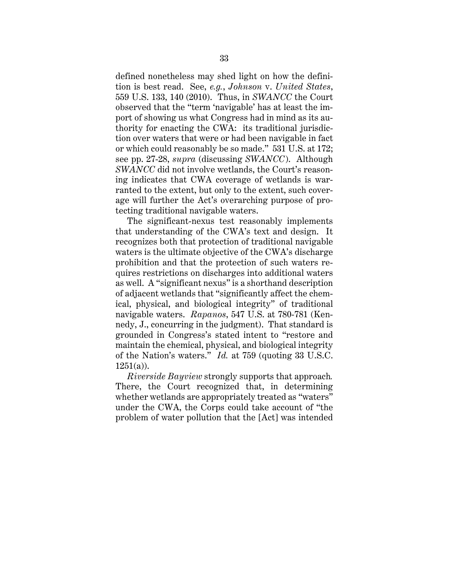defined nonetheless may shed light on how the definition is best read. See, *e.g.*, *Johnson* v. *United States*, 559 U.S. 133, 140 (2010). Thus, in *SWANCC* the Court observed that the "term 'navigable' has at least the import of showing us what Congress had in mind as its authority for enacting the CWA: its traditional jurisdiction over waters that were or had been navigable in fact or which could reasonably be so made." 531 U.S. at 172; see pp. 27-28, *supra* (discussing *SWANCC*). Although *SWANCC* did not involve wetlands, the Court's reasoning indicates that CWA coverage of wetlands is warranted to the extent, but only to the extent, such coverage will further the Act's overarching purpose of protecting traditional navigable waters.

The significant-nexus test reasonably implements that understanding of the CWA's text and design. It recognizes both that protection of traditional navigable waters is the ultimate objective of the CWA's discharge prohibition and that the protection of such waters requires restrictions on discharges into additional waters as well. A "significant nexus" is a shorthand description of adjacent wetlands that "significantly affect the chemical, physical, and biological integrity" of traditional navigable waters. *Rapanos*, 547 U.S. at 780-781 (Kennedy, J., concurring in the judgment). That standard is grounded in Congress's stated intent to "restore and maintain the chemical, physical, and biological integrity of the Nation's waters." *Id.* at 759 (quoting 33 U.S.C.  $1251(a)$ ).

*Riverside Bayview* strongly supports that approach*.* There, the Court recognized that, in determining whether wetlands are appropriately treated as "waters" under the CWA, the Corps could take account of "the problem of water pollution that the [Act] was intended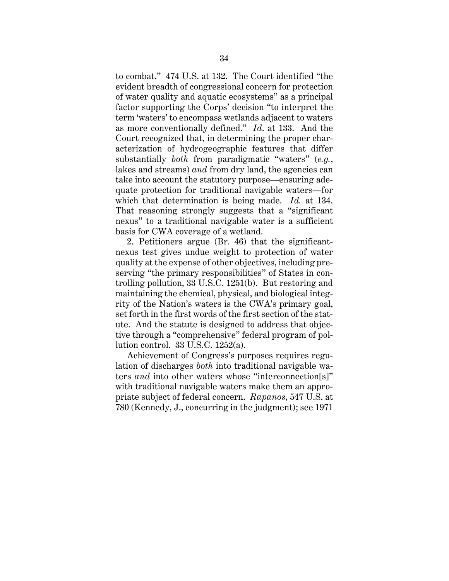to combat." 474 U.S. at 132. The Court identified "the evident breadth of congressional concern for protection of water quality and aquatic ecosystems" as a principal factor supporting the Corps' decision "to interpret the term 'waters' to encompass wetlands adjacent to waters as more conventionally defined." *Id*. at 133. And the Court recognized that, in determining the proper characterization of hydrogeographic features that differ substantially *both* from paradigmatic "waters" (*e.g.*, lakes and streams) *and* from dry land, the agencies can take into account the statutory purpose—ensuring adequate protection for traditional navigable waters—for which that determination is being made. *Id.* at 134. That reasoning strongly suggests that a "significant nexus" to a traditional navigable water is a sufficient basis for CWA coverage of a wetland.

2. Petitioners argue (Br. 46) that the significantnexus test gives undue weight to protection of water quality at the expense of other objectives, including preserving "the primary responsibilities" of States in controlling pollution, 33 U.S.C. 1251(b). But restoring and maintaining the chemical, physical, and biological integrity of the Nation's waters is the CWA's primary goal, set forth in the first words of the first section of the statute. And the statute is designed to address that objective through a "comprehensive" federal program of pollution control. 33 U.S.C. 1252(a).

Achievement of Congress's purposes requires regulation of discharges *both* into traditional navigable waters *and* into other waters whose "interconnection[s]" with traditional navigable waters make them an appropriate subject of federal concern. *Rapanos*, 547 U.S. at 780 (Kennedy, J., concurring in the judgment); see 1971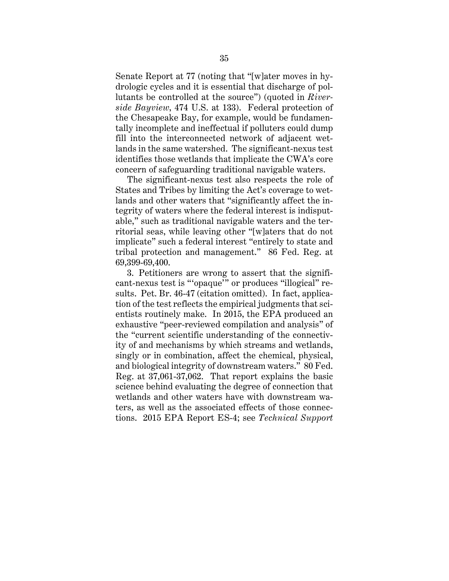Senate Report at 77 (noting that "[w]ater moves in hydrologic cycles and it is essential that discharge of pollutants be controlled at the source") (quoted in *Riverside Bayview*, 474 U.S. at 133). Federal protection of the Chesapeake Bay, for example, would be fundamentally incomplete and ineffectual if polluters could dump fill into the interconnected network of adjacent wetlands in the same watershed. The significant-nexus test identifies those wetlands that implicate the CWA's core concern of safeguarding traditional navigable waters.

The significant-nexus test also respects the role of States and Tribes by limiting the Act's coverage to wetlands and other waters that "significantly affect the integrity of waters where the federal interest is indisputable," such as traditional navigable waters and the territorial seas, while leaving other "[w]aters that do not implicate" such a federal interest "entirely to state and tribal protection and management." 86 Fed. Reg. at 69,399-69,400.

3. Petitioners are wrong to assert that the significant-nexus test is "'opaque'" or produces "illogical" results. Pet. Br. 46-47 (citation omitted). In fact, application of the test reflects the empirical judgments that scientists routinely make. In 2015, the EPA produced an exhaustive "peer-reviewed compilation and analysis" of the "current scientific understanding of the connectivity of and mechanisms by which streams and wetlands, singly or in combination, affect the chemical, physical, and biological integrity of downstream waters." 80 Fed. Reg. at 37,061-37,062. That report explains the basic science behind evaluating the degree of connection that wetlands and other waters have with downstream waters, as well as the associated effects of those connections. 2015 EPA Report ES-4; see *Technical Support*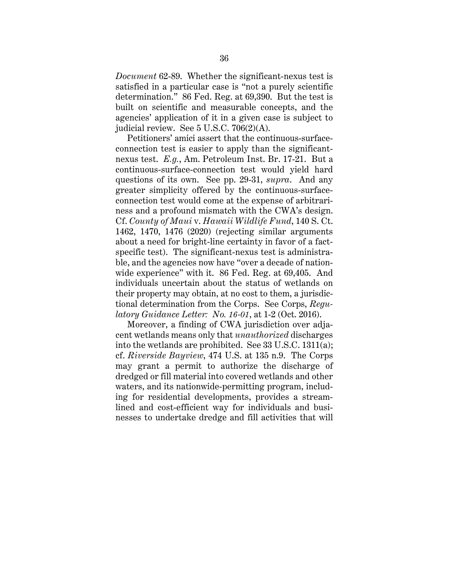*Document* 62-89. Whether the significant-nexus test is satisfied in a particular case is "not a purely scientific determination." 86 Fed. Reg. at 69,390. But the test is built on scientific and measurable concepts, and the agencies' application of it in a given case is subject to judicial review. See 5 U.S.C. 706(2)(A).

Petitioners' amici assert that the continuous-surfaceconnection test is easier to apply than the significantnexus test. *E.g.*, Am. Petroleum Inst. Br. 17-21. But a continuous-surface-connection test would yield hard questions of its own. See pp. 29-31, *supra*. And any greater simplicity offered by the continuous-surfaceconnection test would come at the expense of arbitrariness and a profound mismatch with the CWA's design. Cf. *County of Maui* v. *Hawaii Wildlife Fund*, 140 S. Ct. 1462, 1470, 1476 (2020) (rejecting similar arguments about a need for bright-line certainty in favor of a factspecific test). The significant-nexus test is administrable, and the agencies now have "over a decade of nationwide experience" with it. 86 Fed. Reg. at 69,405. And individuals uncertain about the status of wetlands on their property may obtain, at no cost to them, a jurisdictional determination from the Corps. See Corps, *Regulatory Guidance Letter: No. 16-01*, at 1-2 (Oct. 2016).

Moreover, a finding of CWA jurisdiction over adjacent wetlands means only that *unauthorized* discharges into the wetlands are prohibited. See 33 U.S.C. 1311(a); cf. *Riverside Bayview*, 474 U.S. at 135 n.9. The Corps may grant a permit to authorize the discharge of dredged or fill material into covered wetlands and other waters, and its nationwide-permitting program, including for residential developments, provides a streamlined and cost-efficient way for individuals and businesses to undertake dredge and fill activities that will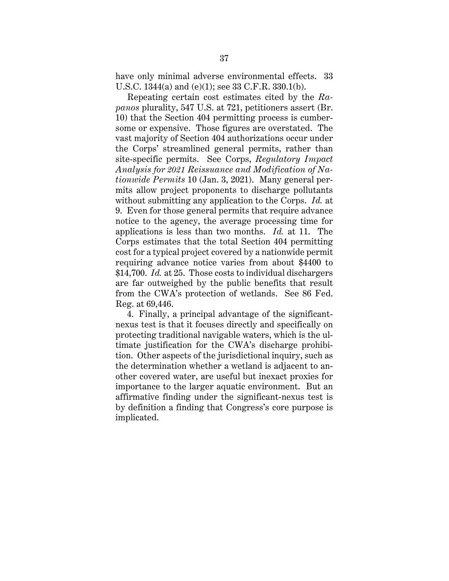have only minimal adverse environmental effects. 33 U.S.C. 1344(a) and (e)(1); see 33 C.F.R. 330.1(b).

Repeating certain cost estimates cited by the *Rapanos* plurality, 547 U.S. at 721, petitioners assert (Br. 10) that the Section 404 permitting process is cumbersome or expensive. Those figures are overstated. The vast majority of Section 404 authorizations occur under the Corps' streamlined general permits, rather than site-specific permits. See Corps, *Regulatory Impact Analysis for 2021 Reissuance and Modification of Nationwide Permits* 10 (Jan. 3, 2021). Many general permits allow project proponents to discharge pollutants without submitting any application to the Corps. *Id.* at 9. Even for those general permits that require advance notice to the agency, the average processing time for applications is less than two months. *Id.* at 11. The Corps estimates that the total Section 404 permitting cost for a typical project covered by a nationwide permit requiring advance notice varies from about \$4400 to \$14,700. *Id.* at 25. Those costs to individual dischargers are far outweighed by the public benefits that result from the CWA's protection of wetlands. See 86 Fed. Reg. at 69,446.

4. Finally, a principal advantage of the significantnexus test is that it focuses directly and specifically on protecting traditional navigable waters, which is the ultimate justification for the CWA's discharge prohibition. Other aspects of the jurisdictional inquiry, such as the determination whether a wetland is adjacent to another covered water, are useful but inexact proxies for importance to the larger aquatic environment. But an affirmative finding under the significant-nexus test is by definition a finding that Congress's core purpose is implicated.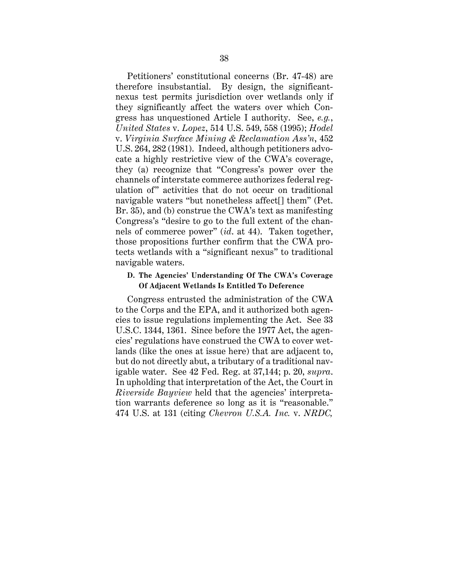Petitioners' constitutional concerns (Br. 47-48) are therefore insubstantial. By design, the significantnexus test permits jurisdiction over wetlands only if they significantly affect the waters over which Congress has unquestioned Article I authority. See, *e.g.*, *United States* v. *Lopez*, 514 U.S. 549, 558 (1995); *Hodel* v. *Virginia Surface Mining & Reclamation Ass'n*, 452 U.S. 264, 282 (1981). Indeed, although petitioners advocate a highly restrictive view of the CWA's coverage, they (a) recognize that "Congress's power over the channels of interstate commerce authorizes federal regulation of" activities that do not occur on traditional navigable waters "but nonetheless affect[] them" (Pet. Br. 35), and (b) construe the CWA's text as manifesting Congress's "desire to go to the full extent of the channels of commerce power" (*id*. at 44). Taken together, those propositions further confirm that the CWA protects wetlands with a "significant nexus" to traditional navigable waters.

## **D. The Agencies' Understanding Of The CWA's Coverage Of Adjacent Wetlands Is Entitled To Deference**

Congress entrusted the administration of the CWA to the Corps and the EPA, and it authorized both agencies to issue regulations implementing the Act. See 33 U.S.C. 1344, 1361. Since before the 1977 Act, the agencies' regulations have construed the CWA to cover wetlands (like the ones at issue here) that are adjacent to, but do not directly abut, a tributary of a traditional navigable water. See 42 Fed. Reg. at 37,144; p. 20, *supra*. In upholding that interpretation of the Act, the Court in *Riverside Bayview* held that the agencies' interpretation warrants deference so long as it is "reasonable." 474 U.S. at 131 (citing *Chevron U.S.A. Inc.* v. *NRDC,*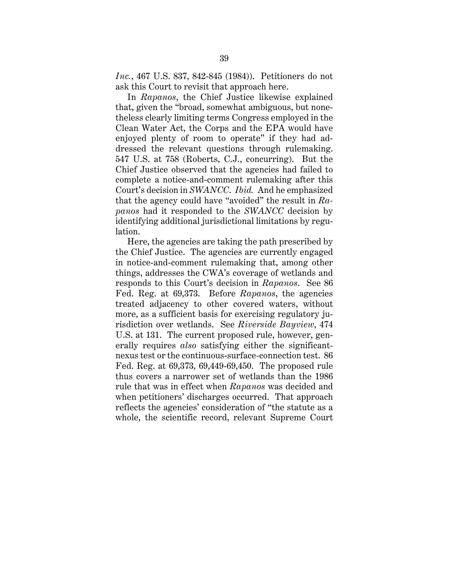*Inc.*, 467 U.S. 837, 842-845 (1984)). Petitioners do not ask this Court to revisit that approach here.

In *Rapanos*, the Chief Justice likewise explained that, given the "broad, somewhat ambiguous, but nonetheless clearly limiting terms Congress employed in the Clean Water Act, the Corps and the EPA would have enjoyed plenty of room to operate" if they had addressed the relevant questions through rulemaking. 547 U.S. at 758 (Roberts, C.J., concurring). But the Chief Justice observed that the agencies had failed to complete a notice-and-comment rulemaking after this Court's decision in *SWANCC*. *Ibid.* And he emphasized that the agency could have "avoided" the result in *Rapanos* had it responded to the *SWANCC* decision by identifying additional jurisdictional limitations by regulation.

Here, the agencies are taking the path prescribed by the Chief Justice. The agencies are currently engaged in notice-and-comment rulemaking that, among other things, addresses the CWA's coverage of wetlands and responds to this Court's decision in *Rapanos*. See 86 Fed. Reg. at 69,373. Before *Rapanos*, the agencies treated adjacency to other covered waters, without more, as a sufficient basis for exercising regulatory jurisdiction over wetlands. See *Riverside Bayview*, 474 U.S. at 131. The current proposed rule, however, generally requires *also* satisfying either the significantnexus test or the continuous-surface-connection test. 86 Fed. Reg. at 69,373, 69,449-69,450. The proposed rule thus covers a narrower set of wetlands than the 1986 rule that was in effect when *Rapanos* was decided and when petitioners' discharges occurred. That approach reflects the agencies' consideration of "the statute as a whole, the scientific record, relevant Supreme Court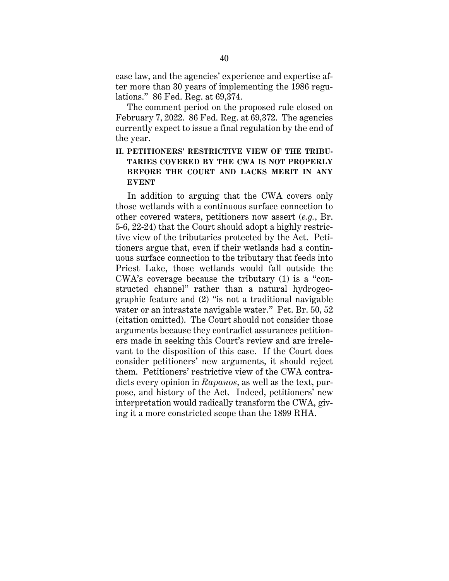case law, and the agencies' experience and expertise after more than 30 years of implementing the 1986 regulations." 86 Fed. Reg. at 69,374.

The comment period on the proposed rule closed on February 7, 2022. 86 Fed. Reg. at 69,372. The agencies currently expect to issue a final regulation by the end of the year.

# **II. PETITIONERS' RESTRICTIVE VIEW OF THE TRIBU-TARIES COVERED BY THE CWA IS NOT PROPERLY BEFORE THE COURT AND LACKS MERIT IN ANY EVENT**

In addition to arguing that the CWA covers only those wetlands with a continuous surface connection to other covered waters, petitioners now assert (*e.g.*, Br. 5-6, 22-24) that the Court should adopt a highly restrictive view of the tributaries protected by the Act. Petitioners argue that, even if their wetlands had a continuous surface connection to the tributary that feeds into Priest Lake, those wetlands would fall outside the CWA's coverage because the tributary (1) is a "constructed channel" rather than a natural hydrogeographic feature and (2) "is not a traditional navigable water or an intrastate navigable water." Pet. Br. 50, 52 (citation omitted). The Court should not consider those arguments because they contradict assurances petitioners made in seeking this Court's review and are irrelevant to the disposition of this case. If the Court does consider petitioners' new arguments, it should reject them. Petitioners' restrictive view of the CWA contradicts every opinion in *Rapanos*, as well as the text, purpose, and history of the Act. Indeed, petitioners' new interpretation would radically transform the CWA, giving it a more constricted scope than the 1899 RHA.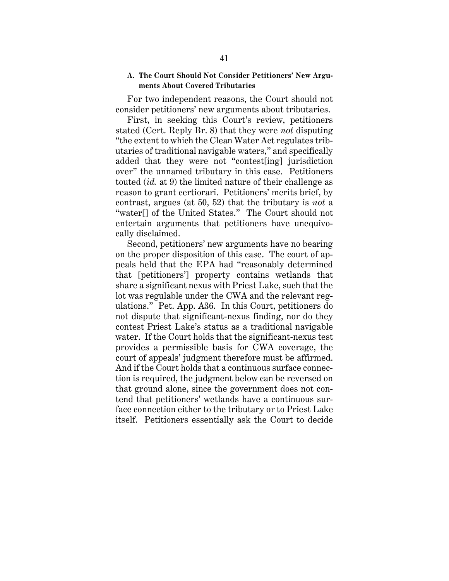### **A. The Court Should Not Consider Petitioners' New Arguments About Covered Tributaries**

For two independent reasons, the Court should not consider petitioners' new arguments about tributaries.

First, in seeking this Court's review, petitioners stated (Cert. Reply Br. 8) that they were *not* disputing "the extent to which the Clean Water Act regulates tributaries of traditional navigable waters," and specifically added that they were not "contest[ing] jurisdiction over" the unnamed tributary in this case. Petitioners touted (*id.* at 9) the limited nature of their challenge as reason to grant certiorari. Petitioners' merits brief, by contrast, argues (at 50, 52) that the tributary is *not* a "water[] of the United States." The Court should not entertain arguments that petitioners have unequivocally disclaimed.

Second, petitioners' new arguments have no bearing on the proper disposition of this case. The court of appeals held that the EPA had "reasonably determined that [petitioners'] property contains wetlands that share a significant nexus with Priest Lake, such that the lot was regulable under the CWA and the relevant regulations." Pet. App. A36. In this Court, petitioners do not dispute that significant-nexus finding, nor do they contest Priest Lake's status as a traditional navigable water. If the Court holds that the significant-nexus test provides a permissible basis for CWA coverage, the court of appeals' judgment therefore must be affirmed. And if the Court holds that a continuous surface connection is required, the judgment below can be reversed on that ground alone, since the government does not contend that petitioners' wetlands have a continuous surface connection either to the tributary or to Priest Lake itself. Petitioners essentially ask the Court to decide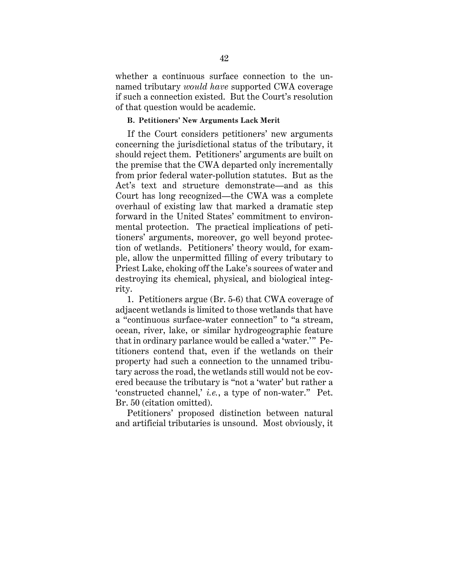whether a continuous surface connection to the unnamed tributary *would have* supported CWA coverage if such a connection existed. But the Court's resolution of that question would be academic.

## **B. Petitioners' New Arguments Lack Merit**

If the Court considers petitioners' new arguments concerning the jurisdictional status of the tributary, it should reject them. Petitioners' arguments are built on the premise that the CWA departed only incrementally from prior federal water-pollution statutes. But as the Act's text and structure demonstrate—and as this Court has long recognized—the CWA was a complete overhaul of existing law that marked a dramatic step forward in the United States' commitment to environmental protection. The practical implications of petitioners' arguments, moreover, go well beyond protection of wetlands. Petitioners' theory would, for example, allow the unpermitted filling of every tributary to Priest Lake, choking off the Lake's sources of water and destroying its chemical, physical, and biological integrity.

1. Petitioners argue (Br. 5-6) that CWA coverage of adjacent wetlands is limited to those wetlands that have a "continuous surface-water connection" to "a stream, ocean, river, lake, or similar hydrogeographic feature that in ordinary parlance would be called a 'water.'" Petitioners contend that, even if the wetlands on their property had such a connection to the unnamed tributary across the road, the wetlands still would not be covered because the tributary is "not a 'water' but rather a 'constructed channel,' *i.e.*, a type of non-water." Pet. Br. 50 (citation omitted).

Petitioners' proposed distinction between natural and artificial tributaries is unsound. Most obviously, it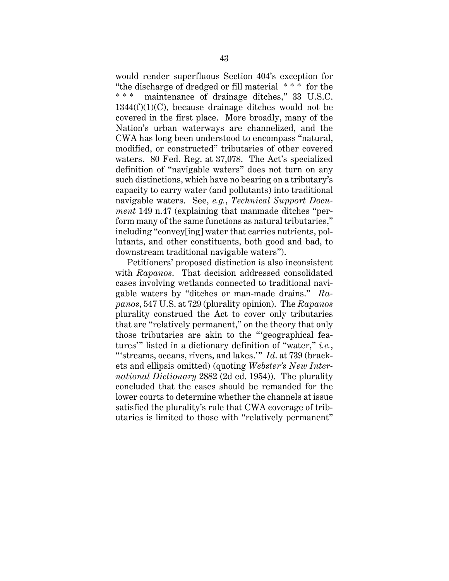would render superfluous Section 404's exception for "the discharge of dredged or fill material \* \* \* for the \*\*\* maintenance of drainage ditches," 33 U.S.C.  $1344(f)(1)(C)$ , because drainage ditches would not be covered in the first place. More broadly, many of the Nation's urban waterways are channelized, and the CWA has long been understood to encompass "natural, modified, or constructed" tributaries of other covered waters. 80 Fed. Reg. at 37,078. The Act's specialized definition of "navigable waters" does not turn on any such distinctions, which have no bearing on a tributary's capacity to carry water (and pollutants) into traditional navigable waters. See, *e.g.*, *Technical Support Document* 149 n.47 (explaining that manmade ditches "perform many of the same functions as natural tributaries," including "convey[ing] water that carries nutrients, pollutants, and other constituents, both good and bad, to downstream traditional navigable waters").

Petitioners' proposed distinction is also inconsistent with *Rapanos*. That decision addressed consolidated cases involving wetlands connected to traditional navigable waters by "ditches or man-made drains." *Rapanos*, 547 U.S. at 729 (plurality opinion). The *Rapanos*  plurality construed the Act to cover only tributaries that are "relatively permanent," on the theory that only those tributaries are akin to the "'geographical features'" listed in a dictionary definition of "water," *i.e.*, "'streams, oceans, rivers, and lakes.'" *Id*. at 739 (brackets and ellipsis omitted) (quoting *Webster's New International Dictionary* 2882 (2d ed. 1954)). The plurality concluded that the cases should be remanded for the lower courts to determine whether the channels at issue satisfied the plurality's rule that CWA coverage of tributaries is limited to those with "relatively permanent"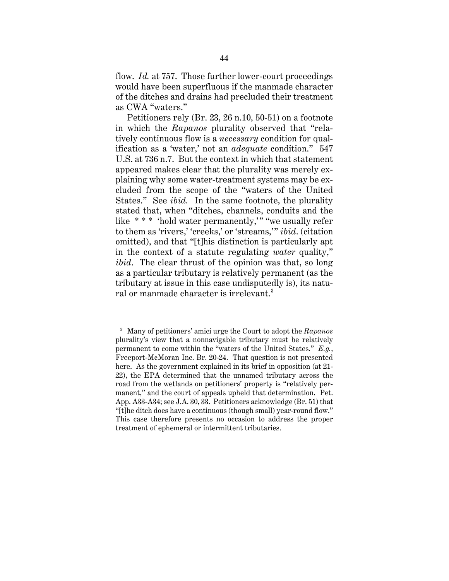flow. *Id.* at 757. Those further lower-court proceedings would have been superfluous if the manmade character of the ditches and drains had precluded their treatment as CWA "waters."

Petitioners rely (Br. 23, 26 n.10, 50-51) on a footnote in which the *Rapanos* plurality observed that "relatively continuous flow is a *necessary* condition for qualification as a 'water,' not an *adequate* condition." 547 U.S. at 736 n.7. But the context in which that statement appeared makes clear that the plurality was merely explaining why some water-treatment systems may be excluded from the scope of the "waters of the United States." See *ibid.* In the same footnote, the plurality stated that, when "ditches, channels, conduits and the like \* \* \* 'hold water permanently,'" "we usually refer to them as 'rivers,' 'creeks,' or 'streams,'" *ibid*. (citation omitted), and that "[t]his distinction is particularly apt in the context of a statute regulating *water* quality," *ibid*. The clear thrust of the opinion was that, so long as a particular tributary is relatively permanent (as the tributary at issue in this case undisputedly is), its natural or manmade character is irrelevant.<sup>3</sup>

<sup>3</sup> Many of petitioners' amici urge the Court to adopt the *Rapanos* plurality's view that a nonnavigable tributary must be relatively permanent to come within the "waters of the United States." *E.g.*, Freeport-McMoran Inc. Br. 20-24. That question is not presented here. As the government explained in its brief in opposition (at 21-22), the EPA determined that the unnamed tributary across the road from the wetlands on petitioners' property is "relatively permanent," and the court of appeals upheld that determination. Pet. App. A33-A34; see J.A. 30, 33. Petitioners acknowledge (Br. 51) that "[t]he ditch does have a continuous (though small) year-round flow." This case therefore presents no occasion to address the proper treatment of ephemeral or intermittent tributaries.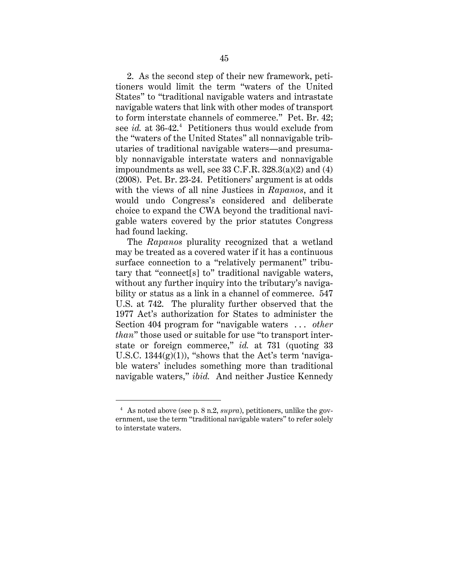2. As the second step of their new framework, petitioners would limit the term "waters of the United States" to "traditional navigable waters and intrastate navigable waters that link with other modes of transport to form interstate channels of commerce." Pet. Br. 42; see *id.* at 36-42.<sup>4</sup> Petitioners thus would exclude from the "waters of the United States" all nonnavigable tributaries of traditional navigable waters—and presumably nonnavigable interstate waters and nonnavigable impoundments as well, see  $33$  C.F.R.  $328.3(a)(2)$  and  $(4)$ (2008). Pet. Br. 23-24. Petitioners' argument is at odds with the views of all nine Justices in *Rapanos*, and it would undo Congress's considered and deliberate choice to expand the CWA beyond the traditional navigable waters covered by the prior statutes Congress had found lacking.

The *Rapanos* plurality recognized that a wetland may be treated as a covered water if it has a continuous surface connection to a "relatively permanent" tributary that "connect[s] to" traditional navigable waters, without any further inquiry into the tributary's navigability or status as a link in a channel of commerce. 547 U.S. at 742. The plurality further observed that the 1977 Act's authorization for States to administer the Section 404 program for "navigable waters . . . *other than*" those used or suitable for use "to transport interstate or foreign commerce," *id.* at 731 (quoting 33 U.S.C.  $1344(g)(1)$ , "shows that the Act's term 'navigable waters' includes something more than traditional navigable waters," *ibid.* And neither Justice Kennedy

<sup>4</sup> As noted above (see p. 8 n.2, *supra*), petitioners, unlike the government, use the term "traditional navigable waters" to refer solely to interstate waters.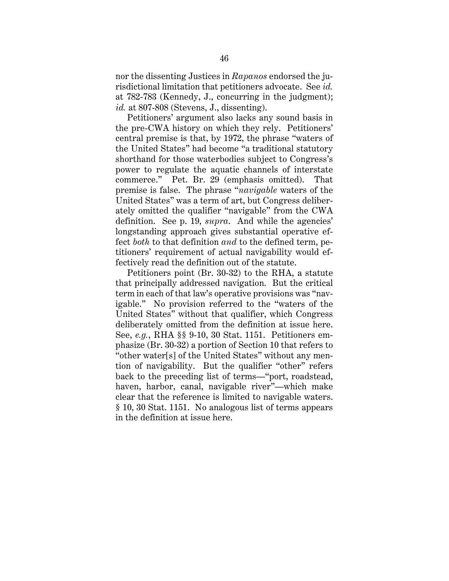nor the dissenting Justices in *Rapanos* endorsed the jurisdictional limitation that petitioners advocate. See *id.* at 782-783 (Kennedy, J., concurring in the judgment); *id.* at 807-808 (Stevens, J., dissenting).

Petitioners' argument also lacks any sound basis in the pre-CWA history on which they rely. Petitioners' central premise is that, by 1972, the phrase "waters of the United States" had become "a traditional statutory shorthand for those waterbodies subject to Congress's power to regulate the aquatic channels of interstate commerce." Pet. Br. 29 (emphasis omitted). That premise is false. The phrase "*navigable* waters of the United States" was a term of art, but Congress deliberately omitted the qualifier "navigable" from the CWA definition. See p. 19, *supra*. And while the agencies' longstanding approach gives substantial operative effect *both* to that definition *and* to the defined term, petitioners' requirement of actual navigability would effectively read the definition out of the statute.

Petitioners point (Br. 30-32) to the RHA, a statute that principally addressed navigation. But the critical term in each of that law's operative provisions was "navigable." No provision referred to the "waters of the United States" without that qualifier, which Congress deliberately omitted from the definition at issue here. See, *e.g.*, RHA §§ 9-10, 30 Stat. 1151. Petitioners emphasize (Br. 30-32) a portion of Section 10 that refers to "other water[s] of the United States" without any mention of navigability. But the qualifier "other" refers back to the preceding list of terms—"port, roadstead, haven, harbor, canal, navigable river"—which make clear that the reference is limited to navigable waters. § 10, 30 Stat. 1151. No analogous list of terms appears in the definition at issue here.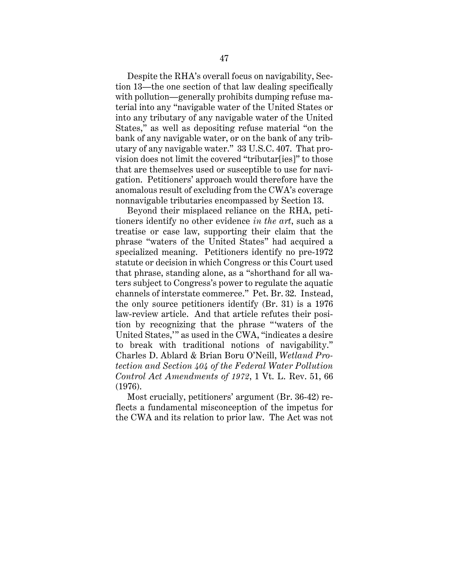Despite the RHA's overall focus on navigability, Section 13—the one section of that law dealing specifically with pollution—generally prohibits dumping refuse material into any "navigable water of the United States or into any tributary of any navigable water of the United States," as well as depositing refuse material "on the bank of any navigable water, or on the bank of any tributary of any navigable water." 33 U.S.C. 407. That provision does not limit the covered "tributar[ies]" to those that are themselves used or susceptible to use for navigation. Petitioners' approach would therefore have the anomalous result of excluding from the CWA's coverage nonnavigable tributaries encompassed by Section 13.

Beyond their misplaced reliance on the RHA, petitioners identify no other evidence *in the art*, such as a treatise or case law, supporting their claim that the phrase "waters of the United States" had acquired a specialized meaning. Petitioners identify no pre-1972 statute or decision in which Congress or this Court used that phrase, standing alone, as a "shorthand for all waters subject to Congress's power to regulate the aquatic channels of interstate commerce." Pet. Br. 32. Instead, the only source petitioners identify (Br. 31) is a 1976 law-review article. And that article refutes their position by recognizing that the phrase "'waters of the United States,'" as used in the CWA, "indicates a desire to break with traditional notions of navigability." Charles D. Ablard & Brian Boru O'Neill, *Wetland Protection and Section 404 of the Federal Water Pollution Control Act Amendments of 1972*, 1 Vt. L. Rev. 51, 66 (1976).

Most crucially, petitioners' argument (Br. 36-42) reflects a fundamental misconception of the impetus for the CWA and its relation to prior law. The Act was not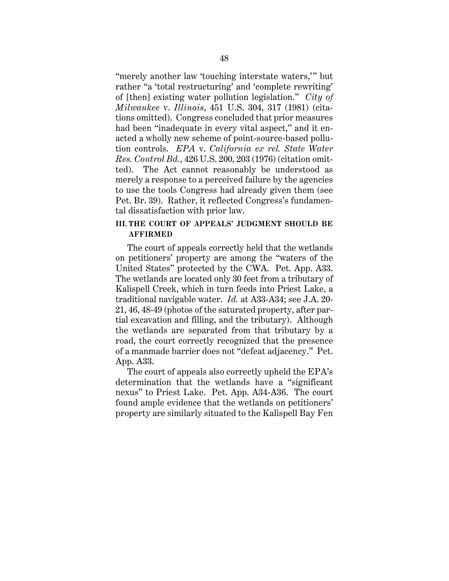"merely another law 'touching interstate waters,'" but rather "a 'total restructuring' and 'complete rewriting' of [then] existing water pollution legislation." *City of Milwaukee* v. *Illinois*, 451 U.S. 304, 317 (1981) (citations omitted). Congress concluded that prior measures had been "inadequate in every vital aspect," and it enacted a wholly new scheme of point-source-based pollution controls. *EPA* v. *California ex rel. State Water Res. Control Bd.*, 426 U.S. 200, 203 (1976) (citation omitted). The Act cannot reasonably be understood as merely a response to a perceived failure by the agencies to use the tools Congress had already given them (see Pet. Br. 39). Rather, it reflected Congress's fundamental dissatisfaction with prior law.

# **III. THE COURT OF APPEALS' JUDGMENT SHOULD BE AFFIRMED**

The court of appeals correctly held that the wetlands on petitioners' property are among the "waters of the United States" protected by the CWA. Pet. App. A33. The wetlands are located only 30 feet from a tributary of Kalispell Creek, which in turn feeds into Priest Lake, a traditional navigable water. *Id.* at A33-A34; see J.A. 20- 21, 46, 48-49 (photos of the saturated property, after partial excavation and filling, and the tributary). Although the wetlands are separated from that tributary by a road, the court correctly recognized that the presence of a manmade barrier does not "defeat adjacency." Pet. App. A33.

The court of appeals also correctly upheld the EPA's determination that the wetlands have a "significant nexus" to Priest Lake. Pet. App. A34-A36. The court found ample evidence that the wetlands on petitioners' property are similarly situated to the Kalispell Bay Fen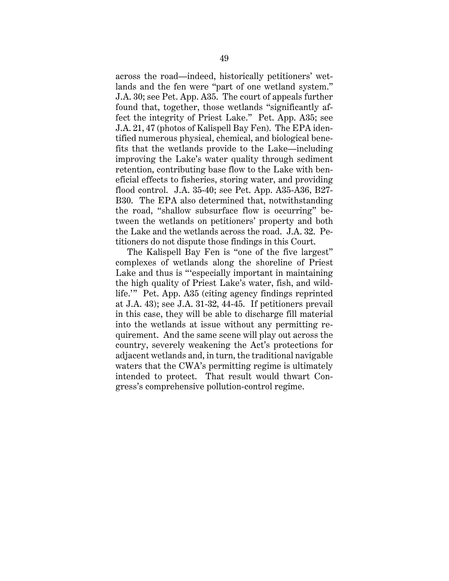across the road—indeed, historically petitioners' wetlands and the fen were "part of one wetland system." J.A. 30; see Pet. App. A35. The court of appeals further found that, together, those wetlands "significantly affect the integrity of Priest Lake." Pet. App. A35; see J.A. 21, 47 (photos of Kalispell Bay Fen). The EPA identified numerous physical, chemical, and biological benefits that the wetlands provide to the Lake—including improving the Lake's water quality through sediment retention, contributing base flow to the Lake with beneficial effects to fisheries, storing water, and providing flood control. J.A. 35-40; see Pet. App. A35-A36, B27- B30. The EPA also determined that, notwithstanding the road, "shallow subsurface flow is occurring" between the wetlands on petitioners' property and both the Lake and the wetlands across the road. J.A. 32. Petitioners do not dispute those findings in this Court.

The Kalispell Bay Fen is "one of the five largest" complexes of wetlands along the shoreline of Priest Lake and thus is "'especially important in maintaining the high quality of Priest Lake's water, fish, and wildlife.'" Pet. App. A35 (citing agency findings reprinted at J.A. 43); see J.A. 31-32, 44-45. If petitioners prevail in this case, they will be able to discharge fill material into the wetlands at issue without any permitting requirement. And the same scene will play out across the country, severely weakening the Act's protections for adjacent wetlands and, in turn, the traditional navigable waters that the CWA's permitting regime is ultimately intended to protect. That result would thwart Congress's comprehensive pollution-control regime.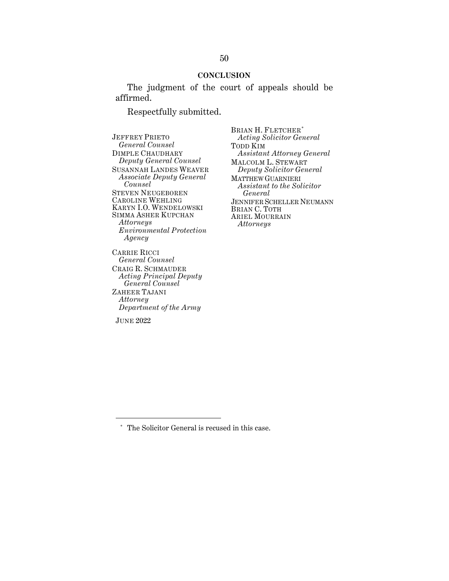#### **CONCLUSION**

The judgment of the court of appeals should be affirmed.

Respectfully submitted.

JEFFREY PRIETO *General Counsel* DIMPLE CHAUDHARY *Deputy General Counsel* SUSANNAH LANDES WEAVER *Associate Deputy General Counsel* STEVEN NEUGEBOREN CAROLINE WEHLING KARYN I.O. WENDELOWSKI SIMMA ASHER KUPCHAN *Attorneys Environmental Protection Agency* CARRIE RICCI *General Counsel*

CRAIG R. SCHMAUDER *Acting Principal Deputy General Counsel* ZAHEER TAJANI *Attorney Department of the Army*

JUNE 2022

BRIAN H. FLETCHER\* *Acting Solicitor General* TODD KIM *Assistant Attorney General* MALCOLM L. STEWART *Deputy Solicitor General* MATTHEW GUARNIERI *Assistant to the Solicitor General* JENNIFER SCHELLER NEUMANN BRIAN C. TOTH ARIEL MOURRAIN *Attorneys*

<sup>\*</sup> The Solicitor General is recused in this case.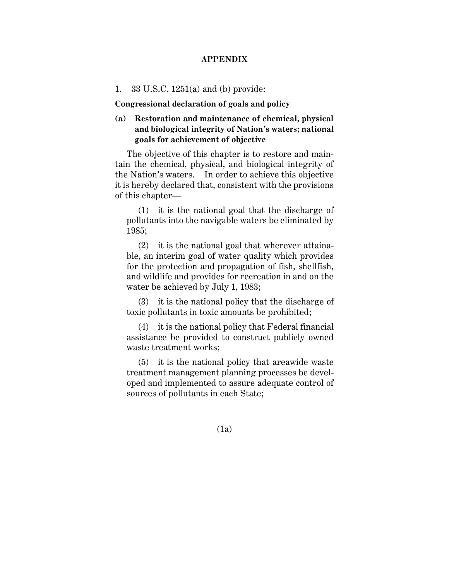### **APPENDIX**

### 1. 33 U.S.C. 1251(a) and (b) provide:

**Congressional declaration of goals and policy**

# **(a) Restoration and maintenance of chemical, physical and biological integrity of Nation's waters; national goals for achievement of objective**

The objective of this chapter is to restore and maintain the chemical, physical, and biological integrity of the Nation's waters. In order to achieve this objective it is hereby declared that, consistent with the provisions of this chapter—

(1) it is the national goal that the discharge of pollutants into the navigable waters be eliminated by 1985;

(2) it is the national goal that wherever attainable, an interim goal of water quality which provides for the protection and propagation of fish, shellfish, and wildlife and provides for recreation in and on the water be achieved by July 1, 1983;

(3) it is the national policy that the discharge of toxic pollutants in toxic amounts be prohibited;

(4) it is the national policy that Federal financial assistance be provided to construct publicly owned waste treatment works;

(5) it is the national policy that areawide waste treatment management planning processes be developed and implemented to assure adequate control of sources of pollutants in each State;

(1a)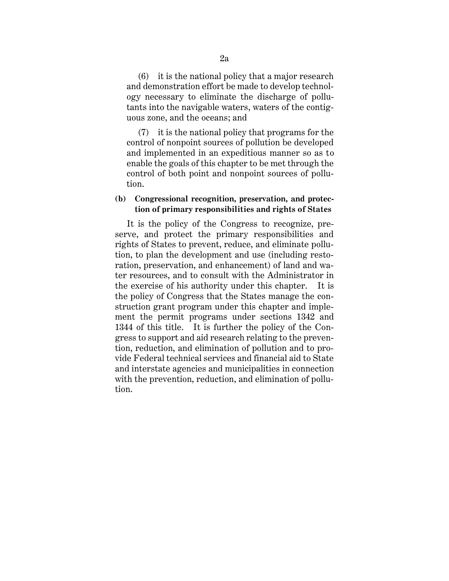(6) it is the national policy that a major research and demonstration effort be made to develop technology necessary to eliminate the discharge of pollutants into the navigable waters, waters of the contiguous zone, and the oceans; and

(7) it is the national policy that programs for the control of nonpoint sources of pollution be developed and implemented in an expeditious manner so as to enable the goals of this chapter to be met through the control of both point and nonpoint sources of pollution.

## **(b) Congressional recognition, preservation, and protection of primary responsibilities and rights of States**

It is the policy of the Congress to recognize, preserve, and protect the primary responsibilities and rights of States to prevent, reduce, and eliminate pollution, to plan the development and use (including restoration, preservation, and enhancement) of land and water resources, and to consult with the Administrator in the exercise of his authority under this chapter. It is the policy of Congress that the States manage the construction grant program under this chapter and implement the permit programs under sections 1342 and 1344 of this title. It is further the policy of the Congress to support and aid research relating to the prevention, reduction, and elimination of pollution and to provide Federal technical services and financial aid to State and interstate agencies and municipalities in connection with the prevention, reduction, and elimination of pollution.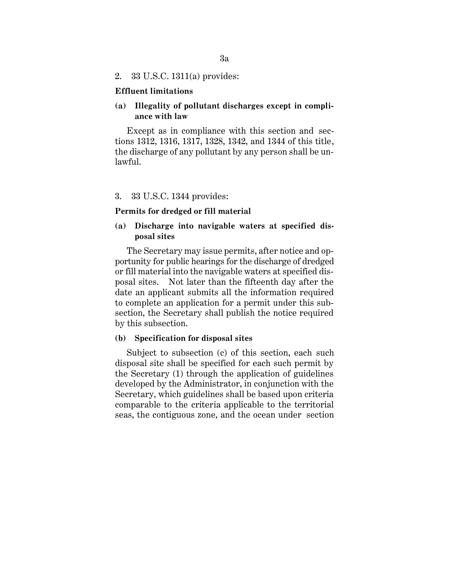### 2. 33 U.S.C. 1311(a) provides:

### **Effluent limitations**

## **(a) Illegality of pollutant discharges except in compliance with law**

Except as in compliance with this section and sections 1312, 1316, 1317, 1328, 1342, and 1344 of this title, the discharge of any pollutant by any person shall be unlawful.

### 3. 33 U.S.C. 1344 provides:

### **Permits for dredged or fill material**

# **(a) Discharge into navigable waters at specified disposal sites**

The Secretary may issue permits, after notice and opportunity for public hearings for the discharge of dredged or fill material into the navigable waters at specified disposal sites. Not later than the fifteenth day after the date an applicant submits all the information required to complete an application for a permit under this subsection, the Secretary shall publish the notice required by this subsection.

### **(b) Specification for disposal sites**

Subject to subsection (c) of this section, each such disposal site shall be specified for each such permit by the Secretary (1) through the application of guidelines developed by the Administrator, in conjunction with the Secretary, which guidelines shall be based upon criteria comparable to the criteria applicable to the territorial seas, the contiguous zone, and the ocean under section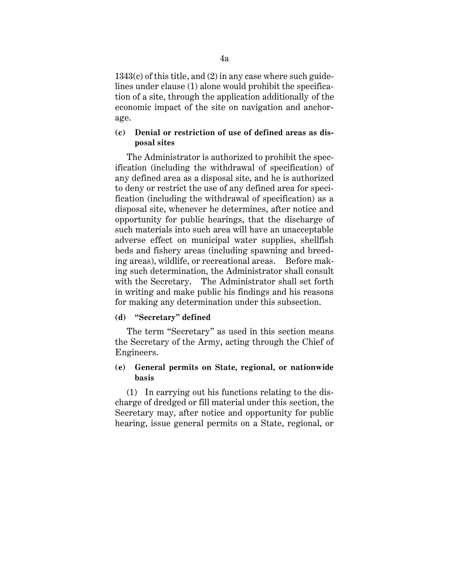$1343(c)$  of this title, and  $(2)$  in any case where such guidelines under clause (1) alone would prohibit the specification of a site, through the application additionally of the economic impact of the site on navigation and anchorage.

# **(c) Denial or restriction of use of defined areas as disposal sites**

The Administrator is authorized to prohibit the specification (including the withdrawal of specification) of any defined area as a disposal site, and he is authorized to deny or restrict the use of any defined area for specification (including the withdrawal of specification) as a disposal site, whenever he determines, after notice and opportunity for public hearings, that the discharge of such materials into such area will have an unacceptable adverse effect on municipal water supplies, shellfish beds and fishery areas (including spawning and breeding areas), wildlife, or recreational areas. Before making such determination, the Administrator shall consult with the Secretary. The Administrator shall set forth in writing and make public his findings and his reasons for making any determination under this subsection.

# **(d) "Secretary" defined**

The term "Secretary" as used in this section means the Secretary of the Army, acting through the Chief of Engineers.

# **(e) General permits on State, regional, or nationwide basis**

(1) In carrying out his functions relating to the discharge of dredged or fill material under this section, the Secretary may, after notice and opportunity for public hearing, issue general permits on a State, regional, or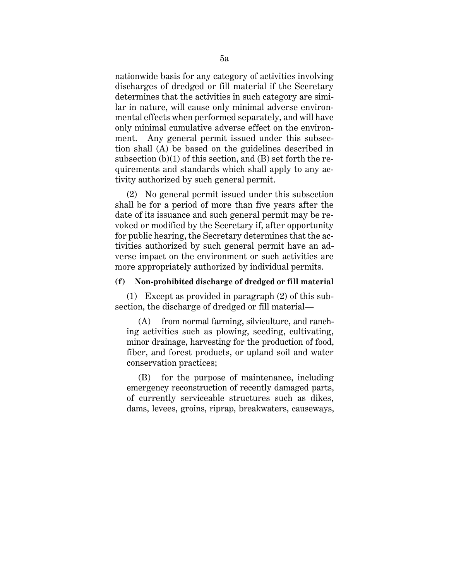nationwide basis for any category of activities involving discharges of dredged or fill material if the Secretary determines that the activities in such category are similar in nature, will cause only minimal adverse environmental effects when performed separately, and will have only minimal cumulative adverse effect on the environment. Any general permit issued under this subsection shall (A) be based on the guidelines described in subsection (b)(1) of this section, and (B) set forth the requirements and standards which shall apply to any activity authorized by such general permit.

(2) No general permit issued under this subsection shall be for a period of more than five years after the date of its issuance and such general permit may be revoked or modified by the Secretary if, after opportunity for public hearing, the Secretary determines that the activities authorized by such general permit have an adverse impact on the environment or such activities are more appropriately authorized by individual permits.

# **(f) Non-prohibited discharge of dredged or fill material**

(1) Except as provided in paragraph (2) of this subsection, the discharge of dredged or fill material—

(A) from normal farming, silviculture, and ranching activities such as plowing, seeding, cultivating, minor drainage, harvesting for the production of food, fiber, and forest products, or upland soil and water conservation practices;

(B) for the purpose of maintenance, including emergency reconstruction of recently damaged parts, of currently serviceable structures such as dikes, dams, levees, groins, riprap, breakwaters, causeways,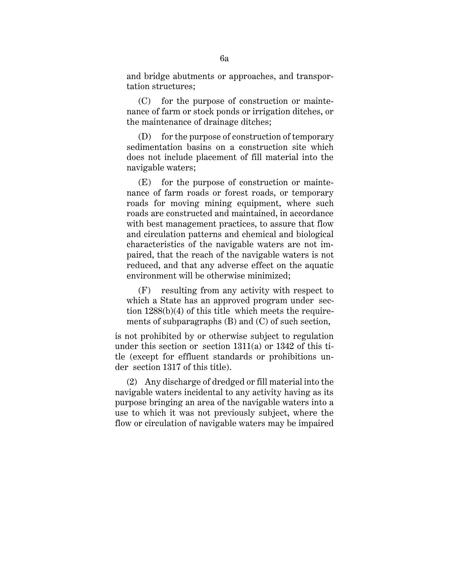and bridge abutments or approaches, and transportation structures;

(C) for the purpose of construction or maintenance of farm or stock ponds or irrigation ditches, or the maintenance of drainage ditches;

(D) for the purpose of construction of temporary sedimentation basins on a construction site which does not include placement of fill material into the navigable waters;

(E) for the purpose of construction or maintenance of farm roads or forest roads, or temporary roads for moving mining equipment, where such roads are constructed and maintained, in accordance with best management practices, to assure that flow and circulation patterns and chemical and biological characteristics of the navigable waters are not impaired, that the reach of the navigable waters is not reduced, and that any adverse effect on the aquatic environment will be otherwise minimized;

(F) resulting from any activity with respect to which a State has an approved program under section 1288(b)(4) of this title which meets the requirements of subparagraphs (B) and (C) of such section,

is not prohibited by or otherwise subject to regulation under this section or section 1311(a) or 1342 of this title (except for effluent standards or prohibitions under section 1317 of this title).

(2) Any discharge of dredged or fill material into the navigable waters incidental to any activity having as its purpose bringing an area of the navigable waters into a use to which it was not previously subject, where the flow or circulation of navigable waters may be impaired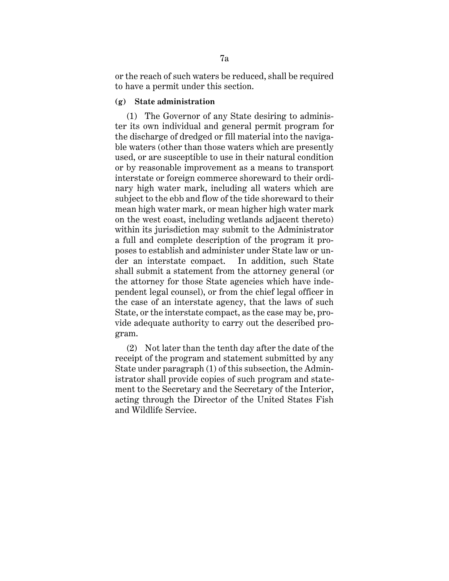or the reach of such waters be reduced, shall be required to have a permit under this section.

## **(g) State administration**

(1) The Governor of any State desiring to administer its own individual and general permit program for the discharge of dredged or fill material into the navigable waters (other than those waters which are presently used, or are susceptible to use in their natural condition or by reasonable improvement as a means to transport interstate or foreign commerce shoreward to their ordinary high water mark, including all waters which are subject to the ebb and flow of the tide shoreward to their mean high water mark, or mean higher high water mark on the west coast, including wetlands adjacent thereto) within its jurisdiction may submit to the Administrator a full and complete description of the program it proposes to establish and administer under State law or under an interstate compact. In addition, such State shall submit a statement from the attorney general (or the attorney for those State agencies which have independent legal counsel), or from the chief legal officer in the case of an interstate agency, that the laws of such State, or the interstate compact, as the case may be, provide adequate authority to carry out the described program.

(2) Not later than the tenth day after the date of the receipt of the program and statement submitted by any State under paragraph (1) of this subsection, the Administrator shall provide copies of such program and statement to the Secretary and the Secretary of the Interior, acting through the Director of the United States Fish and Wildlife Service.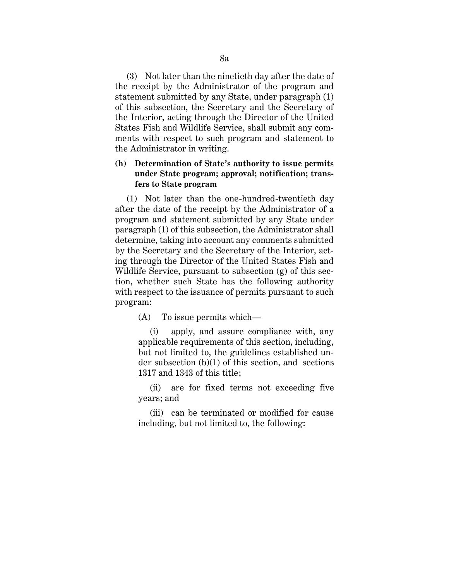(3) Not later than the ninetieth day after the date of the receipt by the Administrator of the program and statement submitted by any State, under paragraph (1) of this subsection, the Secretary and the Secretary of the Interior, acting through the Director of the United States Fish and Wildlife Service, shall submit any comments with respect to such program and statement to the Administrator in writing.

# **(h) Determination of State's authority to issue permits under State program; approval; notification; transfers to State program**

(1) Not later than the one-hundred-twentieth day after the date of the receipt by the Administrator of a program and statement submitted by any State under paragraph (1) of this subsection, the Administrator shall determine, taking into account any comments submitted by the Secretary and the Secretary of the Interior, acting through the Director of the United States Fish and Wildlife Service, pursuant to subsection (g) of this section, whether such State has the following authority with respect to the issuance of permits pursuant to such program:

(A) To issue permits which—

(i) apply, and assure compliance with, any applicable requirements of this section, including, but not limited to, the guidelines established under subsection (b)(1) of this section, and sections 1317 and 1343 of this title;

(ii) are for fixed terms not exceeding five years; and

(iii) can be terminated or modified for cause including, but not limited to, the following: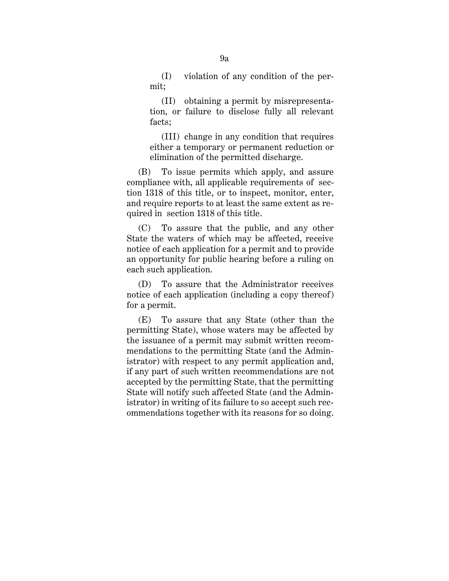(I) violation of any condition of the permit;

(II) obtaining a permit by misrepresentation, or failure to disclose fully all relevant facts;

(III) change in any condition that requires either a temporary or permanent reduction or elimination of the permitted discharge.

(B) To issue permits which apply, and assure compliance with, all applicable requirements of section 1318 of this title, or to inspect, monitor, enter, and require reports to at least the same extent as required in section 1318 of this title.

(C) To assure that the public, and any other State the waters of which may be affected, receive notice of each application for a permit and to provide an opportunity for public hearing before a ruling on each such application.

(D) To assure that the Administrator receives notice of each application (including a copy thereof) for a permit.

(E) To assure that any State (other than the permitting State), whose waters may be affected by the issuance of a permit may submit written recommendations to the permitting State (and the Administrator) with respect to any permit application and, if any part of such written recommendations are not accepted by the permitting State, that the permitting State will notify such affected State (and the Administrator) in writing of its failure to so accept such recommendations together with its reasons for so doing.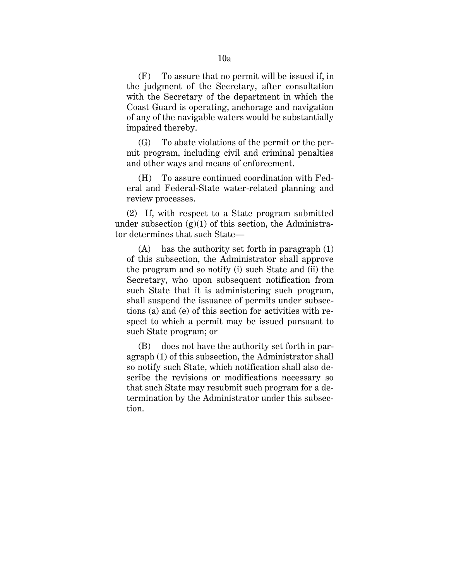(F) To assure that no permit will be issued if, in the judgment of the Secretary, after consultation with the Secretary of the department in which the Coast Guard is operating, anchorage and navigation of any of the navigable waters would be substantially impaired thereby.

(G) To abate violations of the permit or the permit program, including civil and criminal penalties and other ways and means of enforcement.

(H) To assure continued coordination with Federal and Federal-State water-related planning and review processes.

(2) If, with respect to a State program submitted under subsection  $(g)(1)$  of this section, the Administrator determines that such State—

(A) has the authority set forth in paragraph (1) of this subsection, the Administrator shall approve the program and so notify (i) such State and (ii) the Secretary, who upon subsequent notification from such State that it is administering such program, shall suspend the issuance of permits under subsections (a) and (e) of this section for activities with respect to which a permit may be issued pursuant to such State program; or

(B) does not have the authority set forth in paragraph (1) of this subsection, the Administrator shall so notify such State, which notification shall also describe the revisions or modifications necessary so that such State may resubmit such program for a determination by the Administrator under this subsection.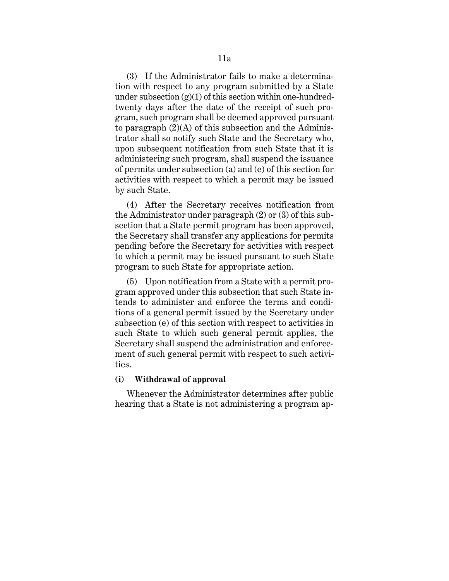(3) If the Administrator fails to make a determination with respect to any program submitted by a State under subsection  $(g)(1)$  of this section within one-hundredtwenty days after the date of the receipt of such program, such program shall be deemed approved pursuant to paragraph  $(2)(A)$  of this subsection and the Administrator shall so notify such State and the Secretary who, upon subsequent notification from such State that it is administering such program, shall suspend the issuance of permits under subsection (a) and (e) of this section for activities with respect to which a permit may be issued by such State.

(4) After the Secretary receives notification from the Administrator under paragraph (2) or (3) of this subsection that a State permit program has been approved, the Secretary shall transfer any applications for permits pending before the Secretary for activities with respect to which a permit may be issued pursuant to such State program to such State for appropriate action.

(5) Upon notification from a State with a permit program approved under this subsection that such State intends to administer and enforce the terms and conditions of a general permit issued by the Secretary under subsection (e) of this section with respect to activities in such State to which such general permit applies, the Secretary shall suspend the administration and enforcement of such general permit with respect to such activities.

## **(i) Withdrawal of approval**

Whenever the Administrator determines after public hearing that a State is not administering a program ap-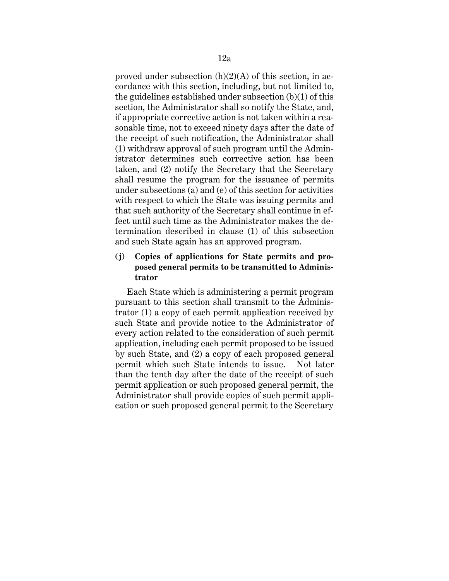proved under subsection  $(h)(2)(A)$  of this section, in accordance with this section, including, but not limited to, the guidelines established under subsection (b)(1) of this section, the Administrator shall so notify the State, and, if appropriate corrective action is not taken within a reasonable time, not to exceed ninety days after the date of the receipt of such notification, the Administrator shall (1) withdraw approval of such program until the Administrator determines such corrective action has been taken, and (2) notify the Secretary that the Secretary shall resume the program for the issuance of permits under subsections (a) and (e) of this section for activities with respect to which the State was issuing permits and that such authority of the Secretary shall continue in effect until such time as the Administrator makes the determination described in clause (1) of this subsection and such State again has an approved program.

# **(j) Copies of applications for State permits and proposed general permits to be transmitted to Administrator**

Each State which is administering a permit program pursuant to this section shall transmit to the Administrator (1) a copy of each permit application received by such State and provide notice to the Administrator of every action related to the consideration of such permit application, including each permit proposed to be issued by such State, and (2) a copy of each proposed general permit which such State intends to issue. Not later than the tenth day after the date of the receipt of such permit application or such proposed general permit, the Administrator shall provide copies of such permit application or such proposed general permit to the Secretary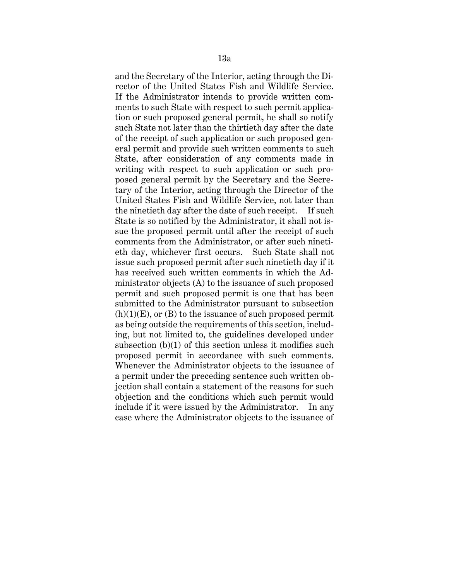and the Secretary of the Interior, acting through the Director of the United States Fish and Wildlife Service. If the Administrator intends to provide written comments to such State with respect to such permit application or such proposed general permit, he shall so notify such State not later than the thirtieth day after the date of the receipt of such application or such proposed general permit and provide such written comments to such State, after consideration of any comments made in writing with respect to such application or such proposed general permit by the Secretary and the Secretary of the Interior, acting through the Director of the United States Fish and Wildlife Service, not later than the ninetieth day after the date of such receipt. If such State is so notified by the Administrator, it shall not issue the proposed permit until after the receipt of such comments from the Administrator, or after such ninetieth day, whichever first occurs. Such State shall not issue such proposed permit after such ninetieth day if it has received such written comments in which the Administrator objects (A) to the issuance of such proposed permit and such proposed permit is one that has been submitted to the Administrator pursuant to subsection  $(h)(1)(E)$ , or  $(B)$  to the issuance of such proposed permit as being outside the requirements of this section, including, but not limited to, the guidelines developed under subsection (b)(1) of this section unless it modifies such proposed permit in accordance with such comments. Whenever the Administrator objects to the issuance of a permit under the preceding sentence such written objection shall contain a statement of the reasons for such objection and the conditions which such permit would include if it were issued by the Administrator. In any case where the Administrator objects to the issuance of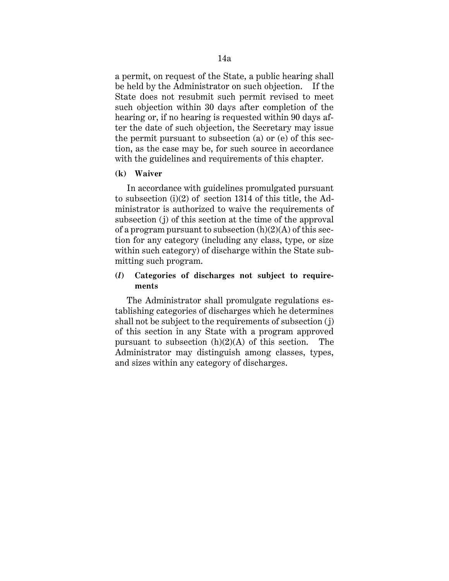a permit, on request of the State, a public hearing shall be held by the Administrator on such objection. If the State does not resubmit such permit revised to meet such objection within 30 days after completion of the hearing or, if no hearing is requested within 90 days after the date of such objection, the Secretary may issue the permit pursuant to subsection (a) or (e) of this section, as the case may be, for such source in accordance with the guidelines and requirements of this chapter.

#### **(k) Waiver**

In accordance with guidelines promulgated pursuant to subsection (i)(2) of section 1314 of this title, the Administrator is authorized to waive the requirements of subsection (j) of this section at the time of the approval of a program pursuant to subsection  $(h)(2)(A)$  of this section for any category (including any class, type, or size within such category) of discharge within the State submitting such program.

# **(***l***) Categories of discharges not subject to requirements**

The Administrator shall promulgate regulations establishing categories of discharges which he determines shall not be subject to the requirements of subsection (j) of this section in any State with a program approved pursuant to subsection  $(h)(2)(A)$  of this section. The Administrator may distinguish among classes, types, and sizes within any category of discharges.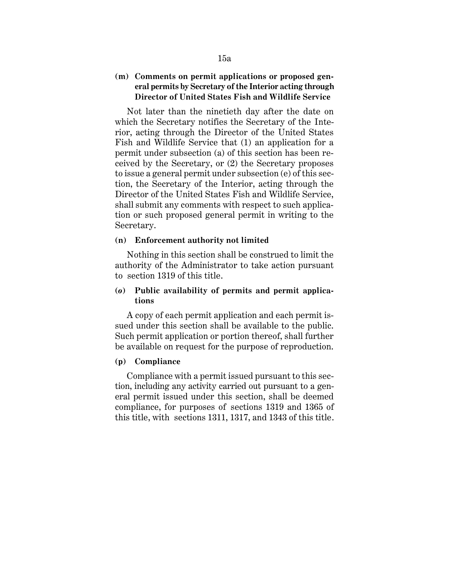# **(m) Comments on permit applications or proposed general permits by Secretary of the Interior acting through Director of United States Fish and Wildlife Service**

Not later than the ninetieth day after the date on which the Secretary notifies the Secretary of the Interior, acting through the Director of the United States Fish and Wildlife Service that (1) an application for a permit under subsection (a) of this section has been received by the Secretary, or (2) the Secretary proposes to issue a general permit under subsection (e) of this section, the Secretary of the Interior, acting through the Director of the United States Fish and Wildlife Service, shall submit any comments with respect to such application or such proposed general permit in writing to the Secretary.

## **(n) Enforcement authority not limited**

Nothing in this section shall be construed to limit the authority of the Administrator to take action pursuant to section 1319 of this title.

# **(***o***) Public availability of permits and permit applications**

A copy of each permit application and each permit issued under this section shall be available to the public. Such permit application or portion thereof, shall further be available on request for the purpose of reproduction.

## **(p) Compliance**

Compliance with a permit issued pursuant to this section, including any activity carried out pursuant to a general permit issued under this section, shall be deemed compliance, for purposes of sections 1319 and 1365 of this title, with sections 1311, 1317, and 1343 of this title.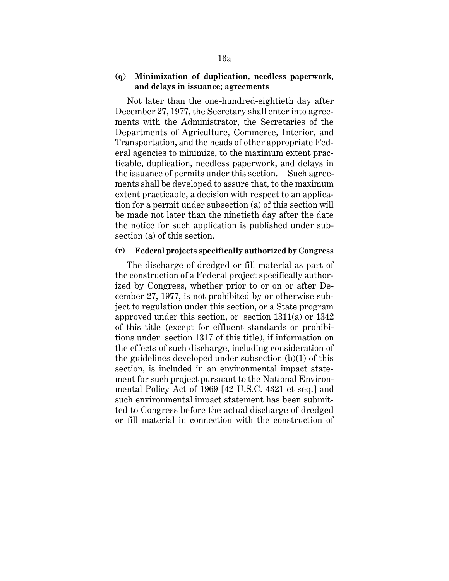## **(q) Minimization of duplication, needless paperwork, and delays in issuance; agreements**

Not later than the one-hundred-eightieth day after December 27, 1977, the Secretary shall enter into agreements with the Administrator, the Secretaries of the Departments of Agriculture, Commerce, Interior, and Transportation, and the heads of other appropriate Federal agencies to minimize, to the maximum extent practicable, duplication, needless paperwork, and delays in the issuance of permits under this section. Such agreements shall be developed to assure that, to the maximum extent practicable, a decision with respect to an application for a permit under subsection (a) of this section will be made not later than the ninetieth day after the date the notice for such application is published under subsection (a) of this section.

### **(r) Federal projects specifically authorized by Congress**

The discharge of dredged or fill material as part of the construction of a Federal project specifically authorized by Congress, whether prior to or on or after December 27, 1977, is not prohibited by or otherwise subject to regulation under this section, or a State program approved under this section, or section 1311(a) or 1342 of this title (except for effluent standards or prohibitions under section 1317 of this title), if information on the effects of such discharge, including consideration of the guidelines developed under subsection (b)(1) of this section, is included in an environmental impact statement for such project pursuant to the National Environmental Policy Act of 1969 [42 U.S.C. 4321 et seq.] and such environmental impact statement has been submitted to Congress before the actual discharge of dredged or fill material in connection with the construction of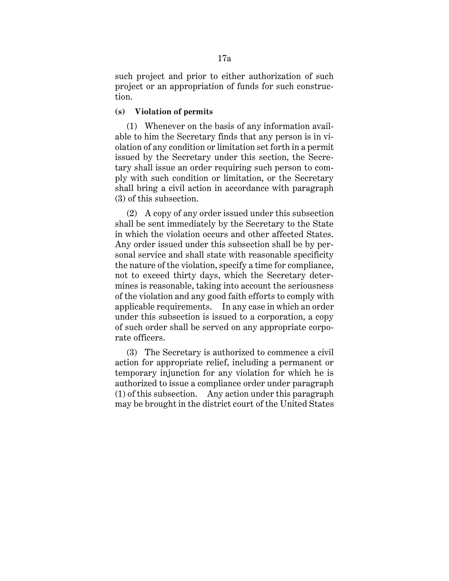such project and prior to either authorization of such project or an appropriation of funds for such construction.

### **(s) Violation of permits**

(1) Whenever on the basis of any information available to him the Secretary finds that any person is in violation of any condition or limitation set forth in a permit issued by the Secretary under this section, the Secretary shall issue an order requiring such person to comply with such condition or limitation, or the Secretary shall bring a civil action in accordance with paragraph (3) of this subsection.

(2) A copy of any order issued under this subsection shall be sent immediately by the Secretary to the State in which the violation occurs and other affected States. Any order issued under this subsection shall be by personal service and shall state with reasonable specificity the nature of the violation, specify a time for compliance, not to exceed thirty days, which the Secretary determines is reasonable, taking into account the seriousness of the violation and any good faith efforts to comply with applicable requirements. In any case in which an order under this subsection is issued to a corporation, a copy of such order shall be served on any appropriate corporate officers.

(3) The Secretary is authorized to commence a civil action for appropriate relief, including a permanent or temporary injunction for any violation for which he is authorized to issue a compliance order under paragraph (1) of this subsection. Any action under this paragraph may be brought in the district court of the United States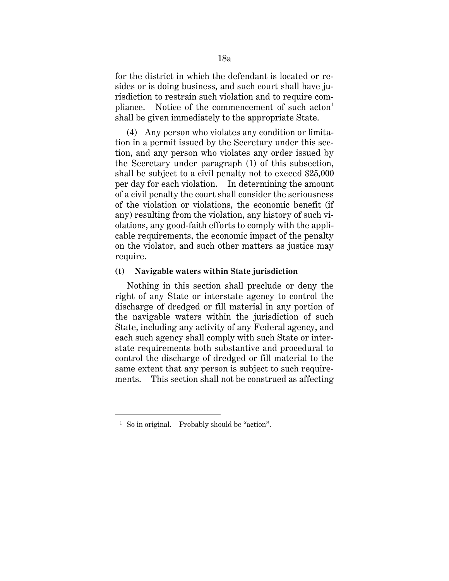for the district in which the defendant is located or resides or is doing business, and such court shall have jurisdiction to restrain such violation and to require compliance. Notice of the commencement of such acton<sup>1</sup> shall be given immediately to the appropriate State.

(4) Any person who violates any condition or limitation in a permit issued by the Secretary under this section, and any person who violates any order issued by the Secretary under paragraph (1) of this subsection, shall be subject to a civil penalty not to exceed \$25,000 per day for each violation. In determining the amount of a civil penalty the court shall consider the seriousness of the violation or violations, the economic benefit (if any) resulting from the violation, any history of such violations, any good-faith efforts to comply with the applicable requirements, the economic impact of the penalty on the violator, and such other matters as justice may require.

## **(t) Navigable waters within State jurisdiction**

Nothing in this section shall preclude or deny the right of any State or interstate agency to control the discharge of dredged or fill material in any portion of the navigable waters within the jurisdiction of such State, including any activity of any Federal agency, and each such agency shall comply with such State or interstate requirements both substantive and procedural to control the discharge of dredged or fill material to the same extent that any person is subject to such requirements. This section shall not be construed as affecting

<sup>&</sup>lt;sup>1</sup> So in original. Probably should be "action".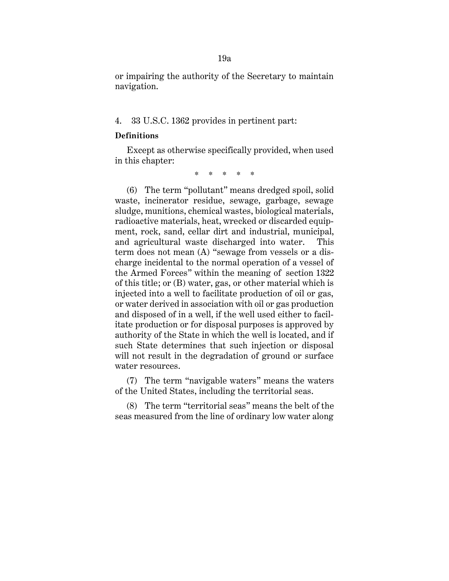or impairing the authority of the Secretary to maintain navigation.

# 4. 33 U.S.C. 1362 provides in pertinent part:

#### **Definitions**

Except as otherwise specifically provided, when used in this chapter:

\* \* \* \* \*

(6) The term "pollutant" means dredged spoil, solid waste, incinerator residue, sewage, garbage, sewage sludge, munitions, chemical wastes, biological materials, radioactive materials, heat, wrecked or discarded equipment, rock, sand, cellar dirt and industrial, municipal, and agricultural waste discharged into water. This term does not mean (A) "sewage from vessels or a discharge incidental to the normal operation of a vessel of the Armed Forces" within the meaning of section 1322 of this title; or (B) water, gas, or other material which is injected into a well to facilitate production of oil or gas, or water derived in association with oil or gas production and disposed of in a well, if the well used either to facilitate production or for disposal purposes is approved by authority of the State in which the well is located, and if such State determines that such injection or disposal will not result in the degradation of ground or surface water resources.

(7) The term "navigable waters" means the waters of the United States, including the territorial seas.

(8) The term "territorial seas" means the belt of the seas measured from the line of ordinary low water along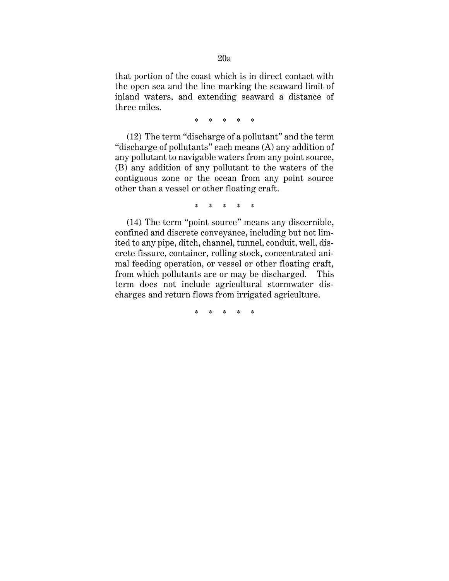that portion of the coast which is in direct contact with the open sea and the line marking the seaward limit of inland waters, and extending seaward a distance of three miles.

\* \* \* \* \*

(12) The term "discharge of a pollutant" and the term "discharge of pollutants" each means (A) any addition of any pollutant to navigable waters from any point source, (B) any addition of any pollutant to the waters of the contiguous zone or the ocean from any point source other than a vessel or other floating craft.

\* \* \* \* \*

(14) The term "point source" means any discernible, confined and discrete conveyance, including but not limited to any pipe, ditch, channel, tunnel, conduit, well, discrete fissure, container, rolling stock, concentrated animal feeding operation, or vessel or other floating craft, from which pollutants are or may be discharged. This term does not include agricultural stormwater discharges and return flows from irrigated agriculture.

\* \* \* \* \*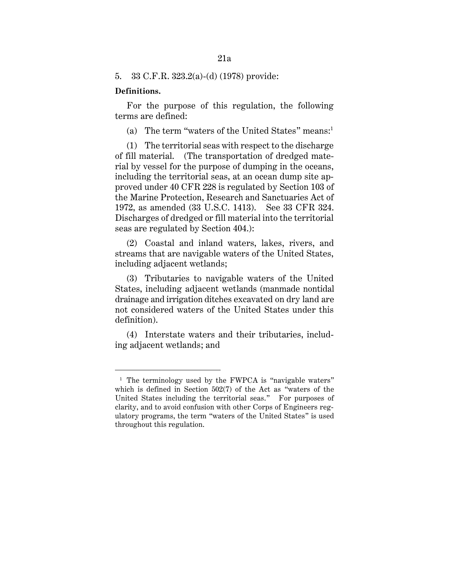## 5. 33 C.F.R. 323.2(a)-(d) (1978) provide:

#### **Definitions.**

For the purpose of this regulation, the following terms are defined:

(a) The term "waters of the United States" means: $<sup>1</sup>$ </sup>

(1) The territorial seas with respect to the discharge of fill material. (The transportation of dredged material by vessel for the purpose of dumping in the oceans, including the territorial seas, at an ocean dump site approved under 40 CFR 228 is regulated by Section 103 of the Marine Protection, Research and Sanctuaries Act of 1972, as amended (33 U.S.C. 1413). See 33 CFR 324. Discharges of dredged or fill material into the territorial seas are regulated by Section 404.):

(2) Coastal and inland waters, lakes, rivers, and streams that are navigable waters of the United States, including adjacent wetlands;

(3) Tributaries to navigable waters of the United States, including adjacent wetlands (manmade nontidal drainage and irrigation ditches excavated on dry land are not considered waters of the United States under this definition).

(4) Interstate waters and their tributaries, including adjacent wetlands; and

<sup>&</sup>lt;sup>1</sup> The terminology used by the FWPCA is "navigable waters" which is defined in Section 502(7) of the Act as "waters of the United States including the territorial seas." For purposes of clarity, and to avoid confusion with other Corps of Engineers regulatory programs, the term "waters of the United States" is used throughout this regulation.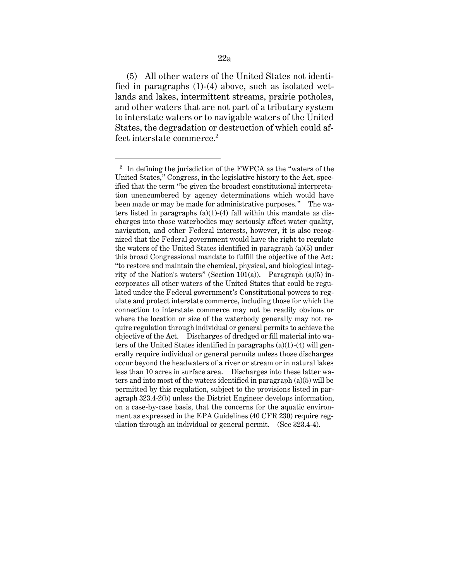(5) All other waters of the United States not identified in paragraphs (1)-(4) above, such as isolated wetlands and lakes, intermittent streams, prairie potholes, and other waters that are not part of a tributary system to interstate waters or to navigable waters of the United States, the degradation or destruction of which could affect interstate commerce.<sup>2</sup>

<sup>2</sup> In defining the jurisdiction of the FWPCA as the "waters of the United States," Congress, in the legislative history to the Act, specified that the term "be given the broadest constitutional interpretation unencumbered by agency determinations which would have been made or may be made for administrative purposes." The waters listed in paragraphs  $(a)(1)-(4)$  fall within this mandate as discharges into those waterbodies may seriously affect water quality, navigation, and other Federal interests, however, it is also recognized that the Federal government would have the right to regulate the waters of the United States identified in paragraph (a)(5) under this broad Congressional mandate to fulfill the objective of the Act: "to restore and maintain the chemical, physical, and biological integrity of the Nation's waters" (Section 101(a)). Paragraph (a)(5) incorporates all other waters of the United States that could be regulated under the Federal government's Constitutional powers to regulate and protect interstate commerce, including those for which the connection to interstate commerce may not be readily obvious or where the location or size of the waterbody generally may not require regulation through individual or general permits to achieve the objective of the Act. Discharges of dredged or fill material into waters of the United States identified in paragraphs (a)(1)-(4) will generally require individual or general permits unless those discharges occur beyond the headwaters of a river or stream or in natural lakes less than 10 acres in surface area. Discharges into these latter waters and into most of the waters identified in paragraph (a)(5) will be permitted by this regulation, subject to the provisions listed in paragraph 323.4-2(b) unless the District Engineer develops information, on a case-by-case basis, that the concerns for the aquatic environment as expressed in the EPA Guidelines (40 CFR 230) require regulation through an individual or general permit. (See 323.4-4).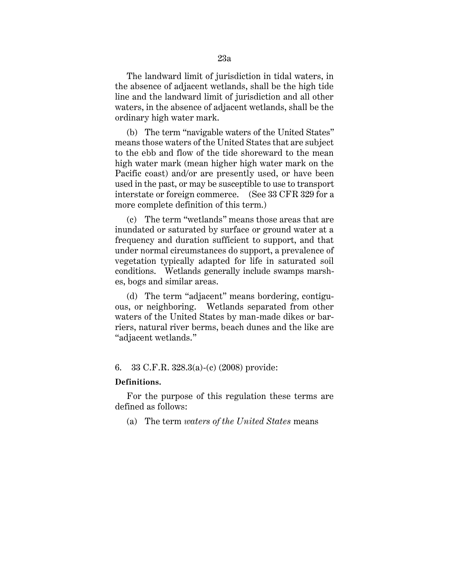The landward limit of jurisdiction in tidal waters, in the absence of adjacent wetlands, shall be the high tide line and the landward limit of jurisdiction and all other waters, in the absence of adjacent wetlands, shall be the ordinary high water mark.

(b) The term "navigable waters of the United States" means those waters of the United States that are subject to the ebb and flow of the tide shoreward to the mean high water mark (mean higher high water mark on the Pacific coast) and/or are presently used, or have been used in the past, or may be susceptible to use to transport interstate or foreign commerce. (See 33 CFR 329 for a more complete definition of this term.)

(c) The term "wetlands" means those areas that are inundated or saturated by surface or ground water at a frequency and duration sufficient to support, and that under normal circumstances do support, a prevalence of vegetation typically adapted for life in saturated soil conditions. Wetlands generally include swamps marshes, bogs and similar areas.

(d) The term "adjacent" means bordering, contiguous, or neighboring. Wetlands separated from other waters of the United States by man-made dikes or barriers, natural river berms, beach dunes and the like are "adjacent wetlands."

## 6. 33 C.F.R. 328.3(a)-(c) (2008) provide:

#### **Definitions.**

For the purpose of this regulation these terms are defined as follows:

(a) The term *waters of the United States* means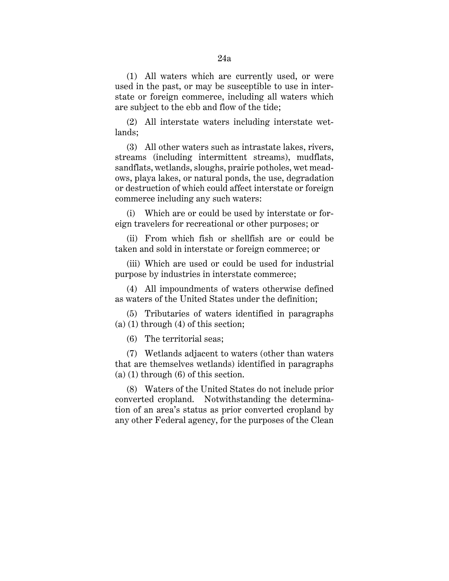(1) All waters which are currently used, or were used in the past, or may be susceptible to use in interstate or foreign commerce, including all waters which are subject to the ebb and flow of the tide;

(2) All interstate waters including interstate wetlands;

(3) All other waters such as intrastate lakes, rivers, streams (including intermittent streams), mudflats, sandflats, wetlands, sloughs, prairie potholes, wet meadows, playa lakes, or natural ponds, the use, degradation or destruction of which could affect interstate or foreign commerce including any such waters:

(i) Which are or could be used by interstate or foreign travelers for recreational or other purposes; or

(ii) From which fish or shellfish are or could be taken and sold in interstate or foreign commerce; or

(iii) Which are used or could be used for industrial purpose by industries in interstate commerce;

(4) All impoundments of waters otherwise defined as waters of the United States under the definition;

(5) Tributaries of waters identified in paragraphs (a) (1) through (4) of this section;

(6) The territorial seas;

(7) Wetlands adjacent to waters (other than waters that are themselves wetlands) identified in paragraphs (a) (1) through (6) of this section.

(8) Waters of the United States do not include prior converted cropland. Notwithstanding the determination of an area's status as prior converted cropland by any other Federal agency, for the purposes of the Clean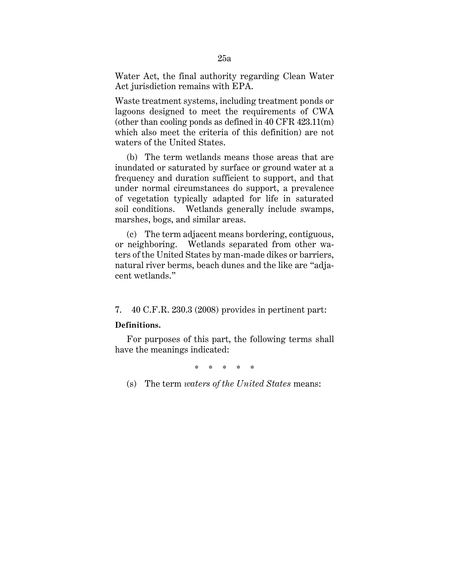Water Act, the final authority regarding Clean Water Act jurisdiction remains with EPA.

Waste treatment systems, including treatment ponds or lagoons designed to meet the requirements of CWA (other than cooling ponds as defined in 40 CFR 423.11(m) which also meet the criteria of this definition) are not waters of the United States.

(b) The term wetlands means those areas that are inundated or saturated by surface or ground water at a frequency and duration sufficient to support, and that under normal circumstances do support, a prevalence of vegetation typically adapted for life in saturated soil conditions. Wetlands generally include swamps, marshes, bogs, and similar areas.

(c) The term adjacent means bordering, contiguous, or neighboring. Wetlands separated from other waters of the United States by man-made dikes or barriers, natural river berms, beach dunes and the like are "adjacent wetlands."

7. 40 C.F.R. 230.3 (2008) provides in pertinent part:

## **Definitions.**

For purposes of this part, the following terms shall have the meanings indicated:

\* \* \* \* \*

(s) The term *waters of the United States* means: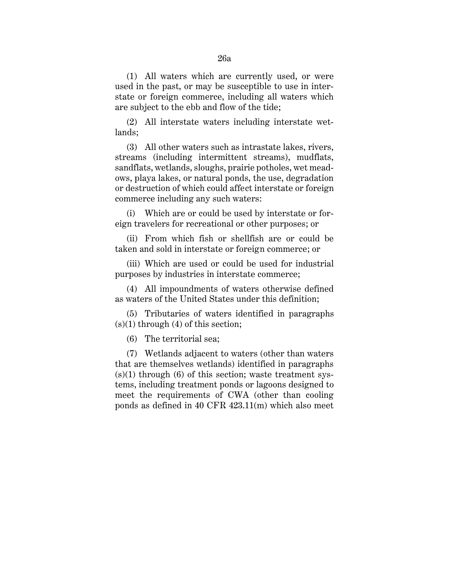(1) All waters which are currently used, or were used in the past, or may be susceptible to use in interstate or foreign commerce, including all waters which are subject to the ebb and flow of the tide;

(2) All interstate waters including interstate wetlands;

(3) All other waters such as intrastate lakes, rivers, streams (including intermittent streams), mudflats, sandflats, wetlands, sloughs, prairie potholes, wet meadows, playa lakes, or natural ponds, the use, degradation or destruction of which could affect interstate or foreign commerce including any such waters:

(i) Which are or could be used by interstate or foreign travelers for recreational or other purposes; or

(ii) From which fish or shellfish are or could be taken and sold in interstate or foreign commerce; or

(iii) Which are used or could be used for industrial purposes by industries in interstate commerce;

(4) All impoundments of waters otherwise defined as waters of the United States under this definition;

(5) Tributaries of waters identified in paragraphs  $(s)(1)$  through  $(4)$  of this section;

(6) The territorial sea;

(7) Wetlands adjacent to waters (other than waters that are themselves wetlands) identified in paragraphs  $(s)(1)$  through  $(6)$  of this section; waste treatment systems, including treatment ponds or lagoons designed to meet the requirements of CWA (other than cooling ponds as defined in 40 CFR 423.11(m) which also meet